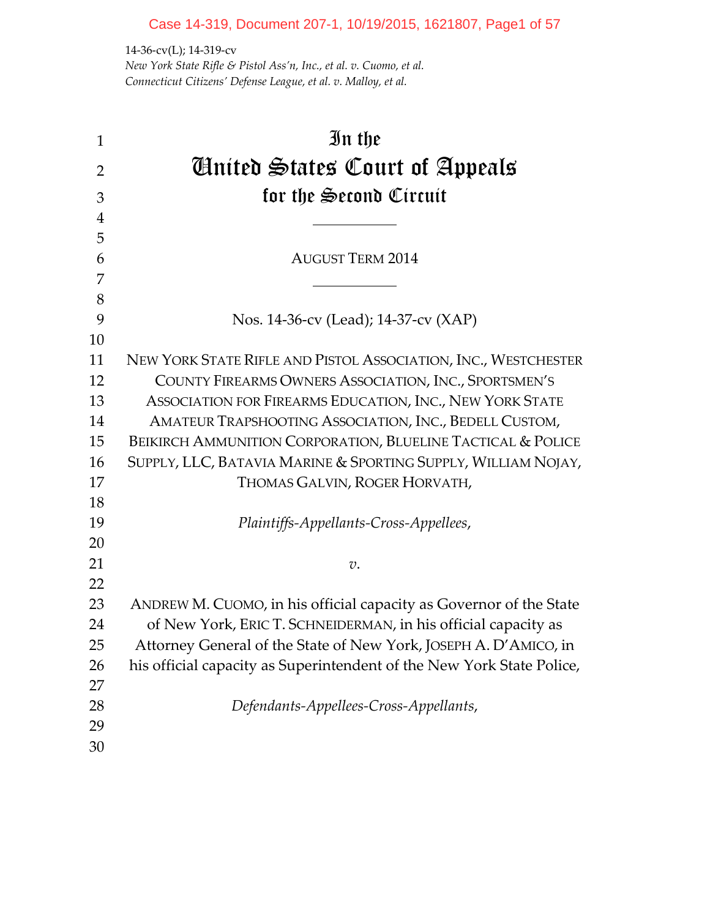‐36‐cv(L); 14‐319‐cv *New York State Rifle & Pistol Ass'n, Inc., et al. v. Cuomo, et al. Connecticut Citizens' Defense League, et al. v. Malloy, et al.*

| $\mathbf{1}$   | In the                                                                |
|----------------|-----------------------------------------------------------------------|
| $\overline{2}$ | Ginited States Court of Appeals                                       |
| 3              | for the Second Circuit                                                |
| $\overline{4}$ |                                                                       |
| 5              |                                                                       |
| 6              | <b>AUGUST TERM 2014</b>                                               |
| 7              |                                                                       |
| 8              |                                                                       |
| 9              | Nos. 14-36-cv (Lead); 14-37-cv (XAP)                                  |
| 10             |                                                                       |
| 11             | NEW YORK STATE RIFLE AND PISTOL ASSOCIATION, INC., WESTCHESTER        |
| 12             | COUNTY FIREARMS OWNERS ASSOCIATION, INC., SPORTSMEN'S                 |
| 13             | ASSOCIATION FOR FIREARMS EDUCATION, INC., NEW YORK STATE              |
| 14             | AMATEUR TRAPSHOOTING ASSOCIATION, INC., BEDELL CUSTOM,                |
| 15             | BEIKIRCH AMMUNITION CORPORATION, BLUELINE TACTICAL & POLICE           |
| 16             | SUPPLY, LLC, BATAVIA MARINE & SPORTING SUPPLY, WILLIAM NOJAY,         |
| 17             | THOMAS GALVIN, ROGER HORVATH,                                         |
| 18             |                                                                       |
| 19             | Plaintiffs-Appellants-Cross-Appellees,                                |
| 20             |                                                                       |
| 21             | v.                                                                    |
| 22             |                                                                       |
| 23             | ANDREW M. CUOMO, in his official capacity as Governor of the State    |
| 24             | of New York, ERIC T. SCHNEIDERMAN, in his official capacity as        |
| 25             | Attorney General of the State of New York, JOSEPH A. D'AMICO, in      |
| 26             | his official capacity as Superintendent of the New York State Police, |
| 27             |                                                                       |
| 28             | Defendants-Appellees-Cross-Appellants,                                |
| 29             |                                                                       |
| 30             |                                                                       |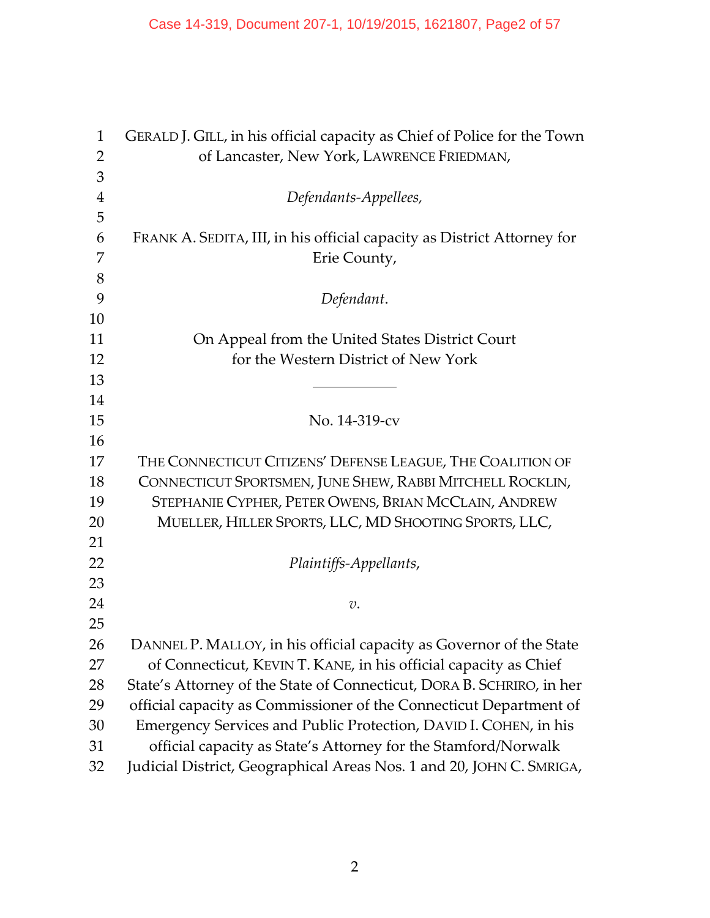| $\mathbf{1}$   | GERALD J. GILL, in his official capacity as Chief of Police for the Town |
|----------------|--------------------------------------------------------------------------|
| $\overline{2}$ | of Lancaster, New York, LAWRENCE FRIEDMAN,                               |
| 3              |                                                                          |
| $\overline{4}$ | Defendants-Appellees,                                                    |
| 5              |                                                                          |
| 6              | FRANK A. SEDITA, III, in his official capacity as District Attorney for  |
| 7              | Erie County,                                                             |
| 8              |                                                                          |
| 9              | Defendant.                                                               |
| 10             |                                                                          |
| 11             | On Appeal from the United States District Court                          |
| 12             | for the Western District of New York                                     |
| 13             |                                                                          |
| 14             |                                                                          |
| 15             | No. 14-319-cv                                                            |
| 16             |                                                                          |
| 17             | THE CONNECTICUT CITIZENS' DEFENSE LEAGUE, THE COALITION OF               |
| 18             | CONNECTICUT SPORTSMEN, JUNE SHEW, RABBI MITCHELL ROCKLIN,                |
| 19             | STEPHANIE CYPHER, PETER OWENS, BRIAN MCCLAIN, ANDREW                     |
| 20             | MUELLER, HILLER SPORTS, LLC, MD SHOOTING SPORTS, LLC,                    |
| 21             |                                                                          |
| 22             | Plaintiffs-Appellants,                                                   |
| 23             |                                                                          |
| 24             | $\upsilon.$                                                              |
| 25             |                                                                          |
| 26             | DANNEL P. MALLOY, in his official capacity as Governor of the State      |
| 27             | of Connecticut, KEVIN T. KANE, in his official capacity as Chief         |
| 28             | State's Attorney of the State of Connecticut, DORA B. SCHRIRO, in her    |
| 29             | official capacity as Commissioner of the Connecticut Department of       |
| 30             | Emergency Services and Public Protection, DAVID I. COHEN, in his         |
| 31             | official capacity as State's Attorney for the Stamford/Norwalk           |
| 32             | Judicial District, Geographical Areas Nos. 1 and 20, JOHN C. SMRIGA,     |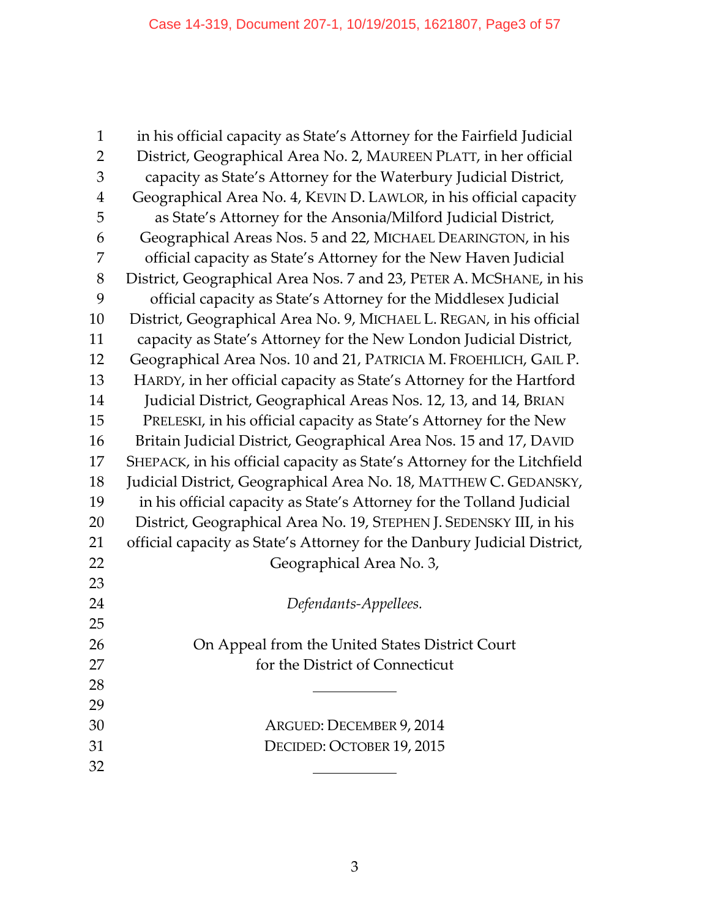in his official capacity as State's Attorney for the Fairfield Judicial District, Geographical Area No. 2, MAUREEN PLATT, in her official capacity as State's Attorney for the Waterbury Judicial District, Geographical Area No. 4, KEVIN D. LAWLOR, in his official capacity as State's Attorney for the Ansonia/Milford Judicial District, Geographical Areas Nos. 5 and 22, MICHAEL DEARINGTON, in his official capacity as State's Attorney for the New Haven Judicial District, Geographical Area Nos. 7 and 23, PETER A. MCSHANE, in his official capacity as State's Attorney for the Middlesex Judicial District, Geographical Area No. 9, MICHAEL L. REGAN, in his official capacity as State's Attorney for the New London Judicial District, Geographical Area Nos. 10 and 21, PATRICIA M. FROEHLICH, GAIL P. HARDY, in her official capacity as State's Attorney for the Hartford Judicial District, Geographical Areas Nos. 12, 13, and 14, BRIAN PRELESKI, in his official capacity as State's Attorney for the New Britain Judicial District, Geographical Area Nos. 15 and 17, DAVID SHEPACK, in his official capacity as State's Attorney for the Litchfield Judicial District, Geographical Area No. 18, MATTHEW C. GEDANSKY, in his official capacity as State's Attorney for the Tolland Judicial 20 District, Geographical Area No. 19, STEPHEN J. SEDENSKY III, in his official capacity as State's Attorney for the Danbury Judicial District, Geographical Area No. 3, *Defendants‐Appellees.* On Appeal from the United States District Court for the District of Connecticut ARGUED: DECEMBER 9, 2014 DECIDED: OCTOBER 19, 2015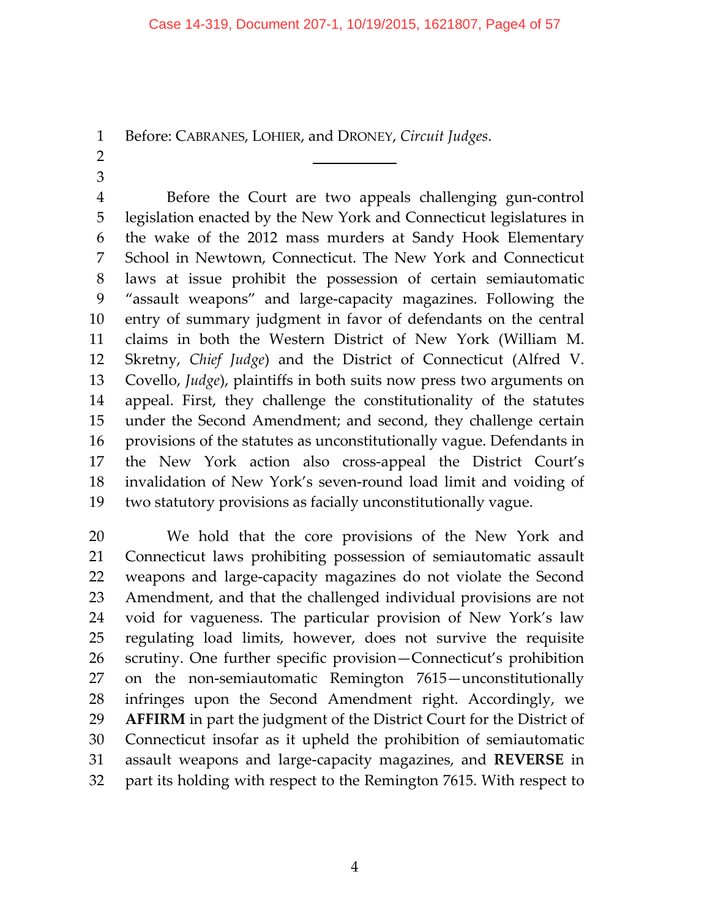Before: CABRANES, LOHIER, and DRONEY, *Circuit Judges*.

- 
- 

 Before the Court are two appeals challenging gun‐control legislation enacted by the New York and Connecticut legislatures in the wake of the 2012 mass murders at Sandy Hook Elementary School in Newtown, Connecticut. The New York and Connecticut laws at issue prohibit the possession of certain semiautomatic "assault weapons" and large‐capacity magazines. Following the entry of summary judgment in favor of defendants on the central claims in both the Western District of New York (William M. Skretny, *Chief Judge*) and the District of Connecticut (Alfred V. Covello, *Judge*), plaintiffs in both suits now press two arguments on appeal. First, they challenge the constitutionality of the statutes under the Second Amendment; and second, they challenge certain provisions of the statutes as unconstitutionally vague. Defendants in 17 the New York action also cross-appeal the District Court's 18 invalidation of New York's seven-round load limit and voiding of two statutory provisions as facially unconstitutionally vague.

 We hold that the core provisions of the New York and Connecticut laws prohibiting possession of semiautomatic assault weapons and large‐capacity magazines do not violate the Second Amendment, and that the challenged individual provisions are not void for vagueness. The particular provision of New York's law regulating load limits, however, does not survive the requisite scrutiny. One further specific provision—Connecticut's prohibition 27 on the non-semiautomatic Remington 7615—unconstitutionally infringes upon the Second Amendment right. Accordingly, we **AFFIRM** in part the judgment of the District Court for the District of Connecticut insofar as it upheld the prohibition of semiautomatic assault weapons and large‐capacity magazines, and **REVERSE** in part its holding with respect to the Remington 7615. With respect to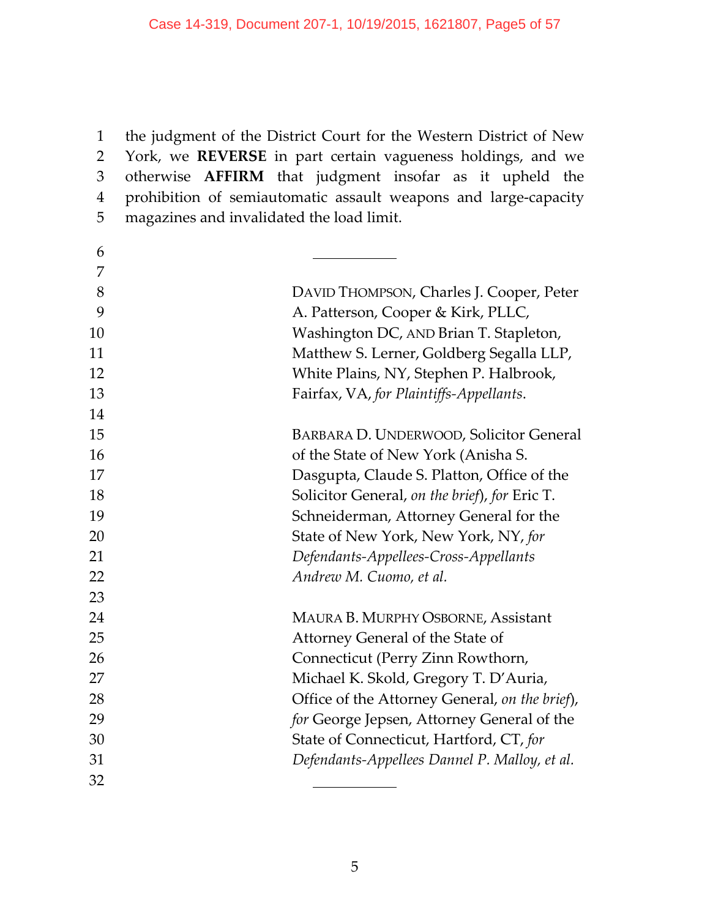the judgment of the District Court for the Western District of New York, we **REVERSE** in part certain vagueness holdings, and we otherwise **AFFIRM** that judgment insofar as it upheld the 4 prohibition of semiautomatic assault weapons and large-capacity magazines and invalidated the load limit.

| 6  |                                                |
|----|------------------------------------------------|
| 7  |                                                |
| 8  | DAVID THOMPSON, Charles J. Cooper, Peter       |
| 9  | A. Patterson, Cooper & Kirk, PLLC,             |
| 10 | Washington DC, AND Brian T. Stapleton,         |
| 11 | Matthew S. Lerner, Goldberg Segalla LLP,       |
| 12 | White Plains, NY, Stephen P. Halbrook,         |
| 13 | Fairfax, VA, for Plaintiffs-Appellants.        |
| 14 |                                                |
| 15 | BARBARA D. UNDERWOOD, Solicitor General        |
| 16 | of the State of New York (Anisha S.            |
| 17 | Dasgupta, Claude S. Platton, Office of the     |
| 18 | Solicitor General, on the brief), for Eric T.  |
| 19 | Schneiderman, Attorney General for the         |
| 20 | State of New York, New York, NY, for           |
| 21 | Defendants-Appellees-Cross-Appellants          |
| 22 | Andrew M. Cuomo, et al.                        |
| 23 |                                                |
| 24 | MAURA B. MURPHY OSBORNE, Assistant             |
| 25 | Attorney General of the State of               |
| 26 | Connecticut (Perry Zinn Rowthorn,              |
| 27 | Michael K. Skold, Gregory T. D'Auria,          |
| 28 | Office of the Attorney General, on the brief), |
| 29 | for George Jepsen, Attorney General of the     |
| 30 | State of Connecticut, Hartford, CT, for        |
| 31 | Defendants-Appellees Dannel P. Malloy, et al.  |
| 32 |                                                |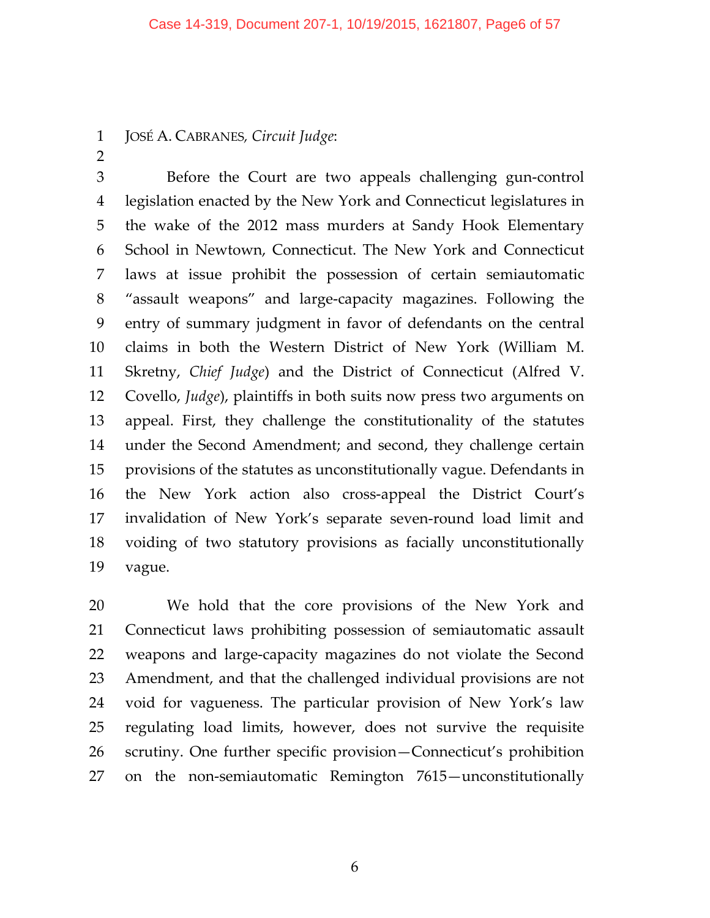JOSÉ A. CABRANES*, Circuit Judge*:

 Before the Court are two appeals challenging gun‐control legislation enacted by the New York and Connecticut legislatures in the wake of the 2012 mass murders at Sandy Hook Elementary School in Newtown, Connecticut. The New York and Connecticut laws at issue prohibit the possession of certain semiautomatic "assault weapons" and large‐capacity magazines. Following the entry of summary judgment in favor of defendants on the central claims in both the Western District of New York (William M. Skretny, *Chief Judge*) and the District of Connecticut (Alfred V. Covello, *Judge*), plaintiffs in both suits now press two arguments on appeal. First, they challenge the constitutionality of the statutes under the Second Amendment; and second, they challenge certain provisions of the statutes as unconstitutionally vague. Defendants in 16 the New York action also cross-appeal the District Court's 17 invalidation of New York's separate seven-round load limit and voiding of two statutory provisions as facially unconstitutionally vague.

 We hold that the core provisions of the New York and Connecticut laws prohibiting possession of semiautomatic assault weapons and large‐capacity magazines do not violate the Second Amendment, and that the challenged individual provisions are not void for vagueness. The particular provision of New York's law regulating load limits, however, does not survive the requisite scrutiny. One further specific provision—Connecticut's prohibition 27 on the non-semiautomatic Remington 7615—unconstitutionally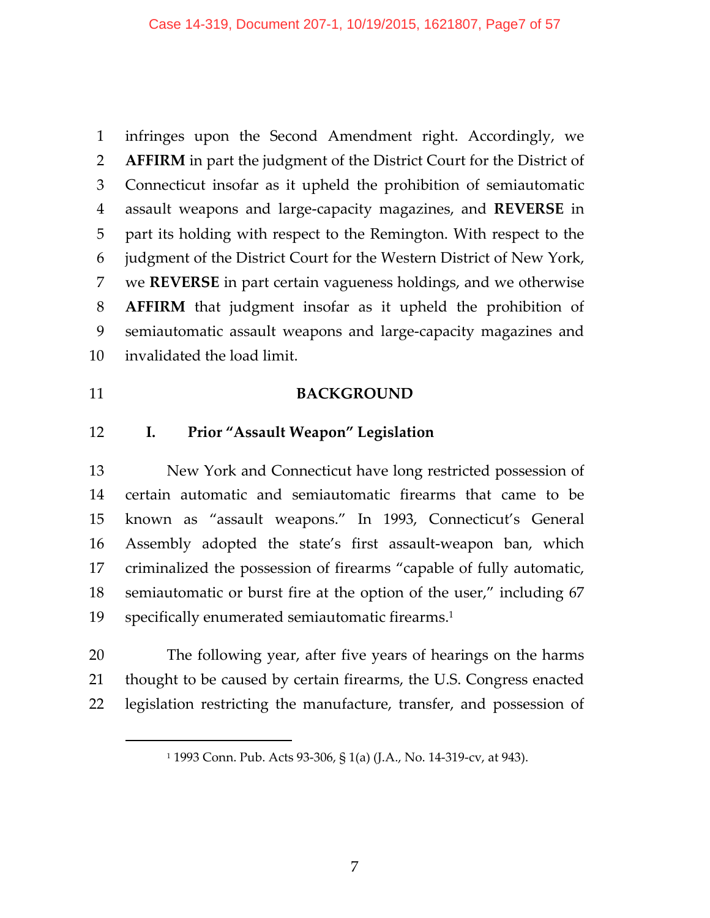infringes upon the Second Amendment right. Accordingly, we **AFFIRM** in part the judgment of the District Court for the District of Connecticut insofar as it upheld the prohibition of semiautomatic assault weapons and large‐capacity magazines, and **REVERSE** in part its holding with respect to the Remington. With respect to the judgment of the District Court for the Western District of New York, we **REVERSE** in part certain vagueness holdings, and we otherwise **AFFIRM** that judgment insofar as it upheld the prohibition of semiautomatic assault weapons and large‐capacity magazines and invalidated the load limit.

**BACKGROUND**

## **I. Prior "Assault Weapon" Legislation**

 New York and Connecticut have long restricted possession of certain automatic and semiautomatic firearms that came to be known as "assault weapons." In 1993, Connecticut's General Assembly adopted the state's first assault‐weapon ban, which criminalized the possession of firearms "capable of fully automatic, semiautomatic or burst fire at the option of the user," including 67 specifically enumerated semiautomatic firearms.1

 The following year, after five years of hearings on the harms thought to be caused by certain firearms, the U.S. Congress enacted legislation restricting the manufacture, transfer, and possession of

1993 Conn. Pub. Acts 93‐306, § 1(a) (J.A., No. 14‐319‐cv, at 943).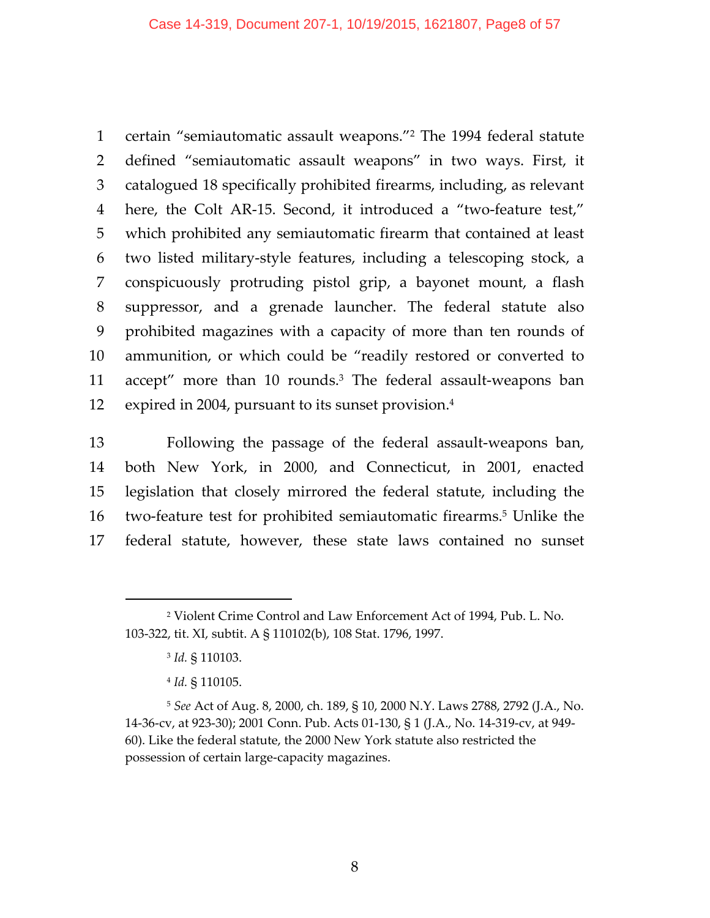1 certain "semiautomatic assault weapons."<sup>2</sup> The 1994 federal statute defined "semiautomatic assault weapons" in two ways. First, it catalogued 18 specifically prohibited firearms, including, as relevant 4 here, the Colt AR-15. Second, it introduced a "two-feature test," which prohibited any semiautomatic firearm that contained at least two listed military‐style features, including a telescoping stock, a conspicuously protruding pistol grip, a bayonet mount, a flash suppressor, and a grenade launcher. The federal statute also prohibited magazines with a capacity of more than ten rounds of ammunition, or which could be "readily restored or converted to  $accept''$  more than 10 rounds.<sup>3</sup> The federal assault-weapons ban 12 expired in 2004, pursuant to its sunset provision.<sup>4</sup>

 Following the passage of the federal assault‐weapons ban, both New York, in 2000, and Connecticut, in 2001, enacted legislation that closely mirrored the federal statute, including the 16 two-feature test for prohibited semiautomatic firearms.<sup>5</sup> Unlike the federal statute, however, these state laws contained no sunset

 Violent Crime Control and Law Enforcement Act of 1994, Pub. L. No. ‐322, tit. XI, subtit. A § 110102(b), 108 Stat. 1796, 1997.

*Id.* § 110103.

*Id.* § 110105.

 *See* Act of Aug. 8, 2000, ch. 189, § 10, 2000 N.Y. Laws 2788, 2792 (J.A., No. ‐36‐cv, at 923‐30); 2001 Conn. Pub. Acts 01‐130, § 1 (J.A., No. 14‐319‐cv, at 949‐ 60). Like the federal statute, the 2000 New York statute also restricted the possession of certain large‐capacity magazines.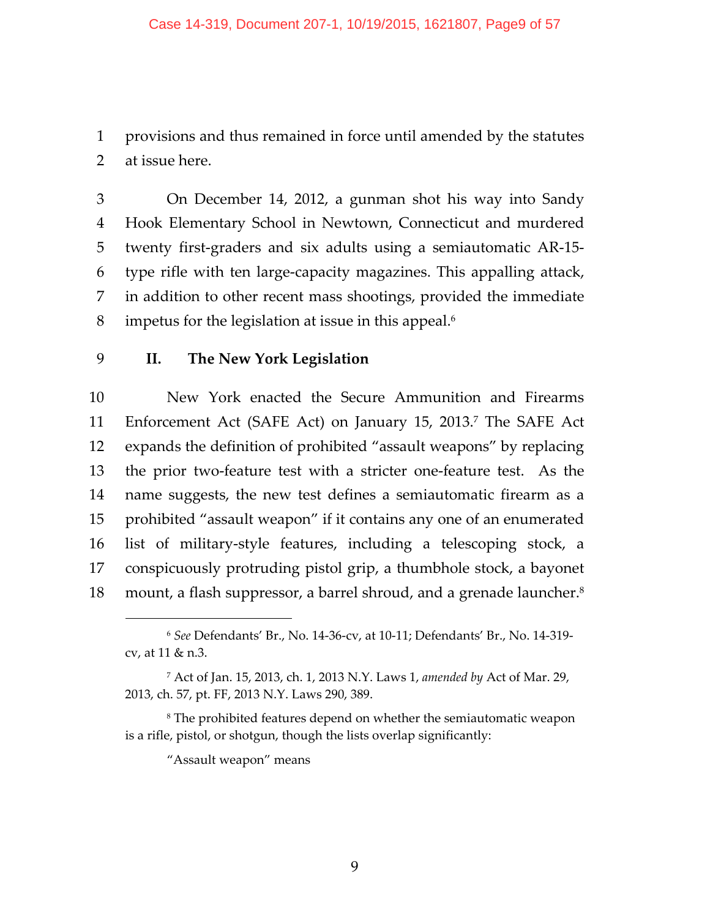provisions and thus remained in force until amended by the statutes at issue here.

 On December 14, 2012, a gunman shot his way into Sandy Hook Elementary School in Newtown, Connecticut and murdered twenty first‐graders and six adults using a semiautomatic AR‐15‐ type rifle with ten large‐capacity magazines. This appalling attack, in addition to other recent mass shootings, provided the immediate 8 impetus for the legislation at issue in this appeal.<sup>6</sup>

**II. The New York Legislation**

 New York enacted the Secure Ammunition and Firearms 11 Enforcement Act (SAFE Act) on January 15, 2013.<sup>7</sup> The SAFE Act expands the definition of prohibited "assault weapons" by replacing 13 the prior two-feature test with a stricter one-feature test. As the name suggests, the new test defines a semiautomatic firearm as a prohibited "assault weapon" if it contains any one of an enumerated list of military‐style features, including a telescoping stock, a conspicuously protruding pistol grip, a thumbhole stock, a bayonet 18 mount, a flash suppressor, a barrel shroud, and a grenade launcher.<sup>8</sup>

"Assault weapon" means

 *See* Defendants' Br., No. 14‐36‐cv, at 10‐11; Defendants' Br., No. 14‐319‐ cv, at 11 & n.3.

 Act of Jan. 15, 2013, ch. 1, 2013 N.Y. Laws 1, *amended by* Act of Mar. 29, 2013, ch. 57, pt. FF, 2013 N.Y. Laws 290, 389.

 The prohibited features depend on whether the semiautomatic weapon is a rifle, pistol, or shotgun, though the lists overlap significantly: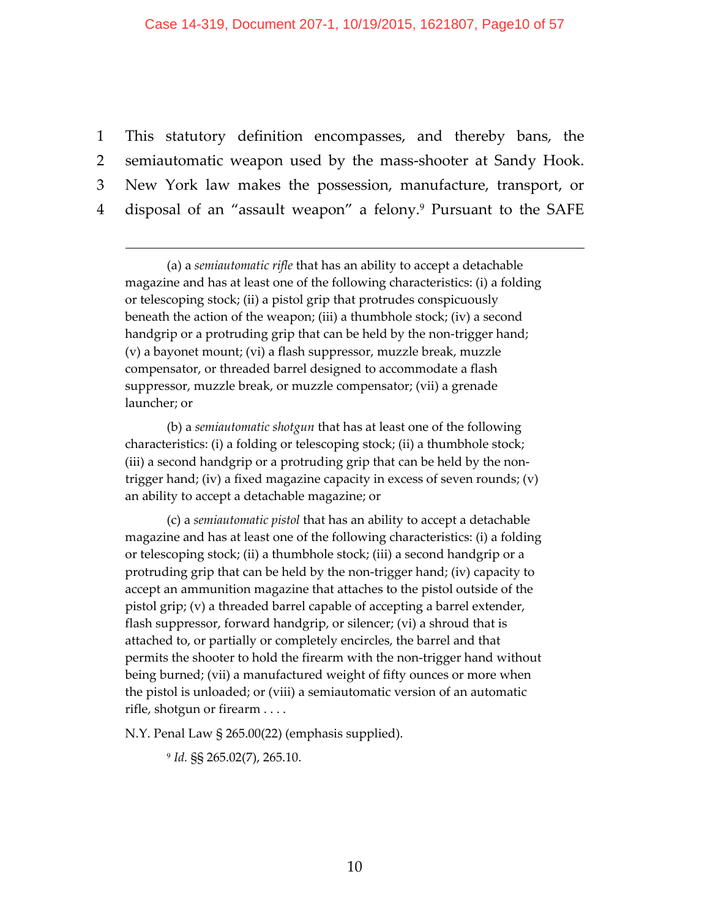1 This statutory definition encompasses, and thereby bans, the 2 semiautomatic weapon used by the mass-shooter at Sandy Hook. 3 New York law makes the possession, manufacture, transport, or 4 disposal of an "assault weapon" a felony.<sup>9</sup> Pursuant to the SAFE

<u> Andreas Andreas Andreas Andreas Andreas Andreas Andreas Andreas Andreas Andreas Andreas Andreas Andreas Andr</u>

(a) a *semiautomatic rifle* that has an ability to accept a detachable magazine and has at least one of the following characteristics: (i) a folding or telescoping stock; (ii) a pistol grip that protrudes conspicuously beneath the action of the weapon; (iii) a thumbhole stock; (iv) a second handgrip or a protruding grip that can be held by the non-trigger hand; (v) a bayonet mount; (vi) a flash suppressor, muzzle break, muzzle compensator, or threaded barrel designed to accommodate a flash suppressor, muzzle break, or muzzle compensator; (vii) a grenade launcher; or

(b) a *semiautomatic shotgun* that has at least one of the following characteristics: (i) a folding or telescoping stock; (ii) a thumbhole stock; (iii) a second handgrip or a protruding grip that can be held by the non‐ trigger hand; (iv) a fixed magazine capacity in excess of seven rounds; (v) an ability to accept a detachable magazine; or

(c) a *semiautomatic pistol* that has an ability to accept a detachable magazine and has at least one of the following characteristics: (i) a folding or telescoping stock; (ii) a thumbhole stock; (iii) a second handgrip or a protruding grip that can be held by the non‐trigger hand; (iv) capacity to accept an ammunition magazine that attaches to the pistol outside of the pistol grip; (v) a threaded barrel capable of accepting a barrel extender, flash suppressor, forward handgrip, or silencer; (vi) a shroud that is attached to, or partially or completely encircles, the barrel and that permits the shooter to hold the firearm with the non-trigger hand without being burned; (vii) a manufactured weight of fifty ounces or more when the pistol is unloaded; or (viii) a semiautomatic version of an automatic rifle, shotgun or firearm . . . .

N.Y. Penal Law § 265.00(22) (emphasis supplied).

<sup>9</sup> *Id.* §§ 265.02(7), 265.10.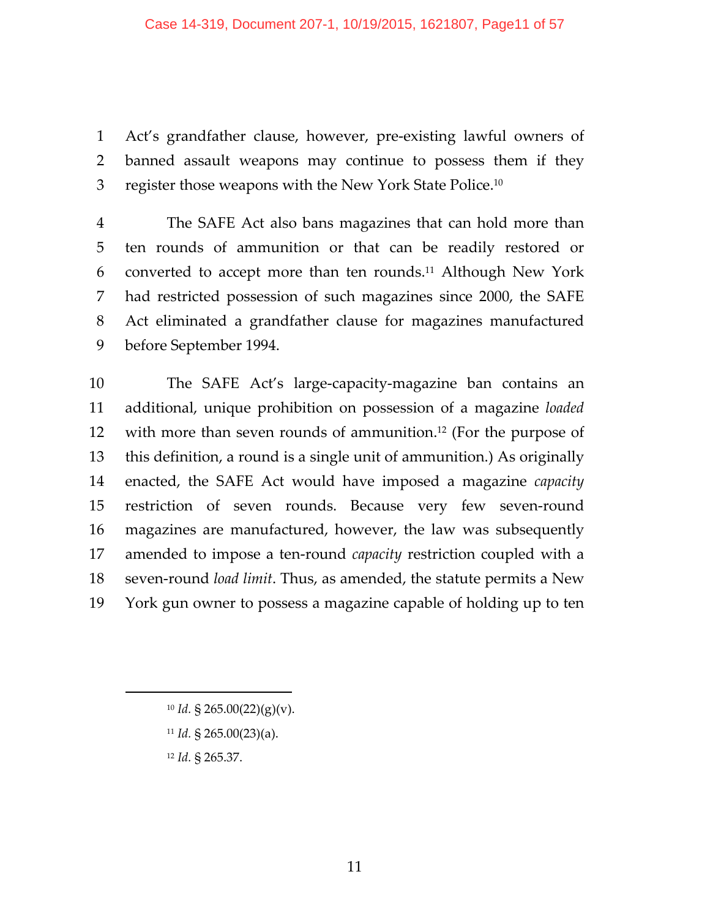Act's grandfather clause, however, pre‐existing lawful owners of banned assault weapons may continue to possess them if they register those weapons with the New York State Police.10

 The SAFE Act also bans magazines that can hold more than ten rounds of ammunition or that can be readily restored or 6 converted to accept more than ten rounds.<sup>11</sup> Although New York had restricted possession of such magazines since 2000, the SAFE Act eliminated a grandfather clause for magazines manufactured before September 1994.

10 The SAFE Act's large-capacity-magazine ban contains an additional, unique prohibition on possession of a magazine *loaded* 12 with more than seven rounds of ammunition.<sup>12</sup> (For the purpose of this definition, a round is a single unit of ammunition.) As originally enacted, the SAFE Act would have imposed a magazine *capacity* restriction of seven rounds. Because very few seven‐round magazines are manufactured, however, the law was subsequently amended to impose a ten‐round *capacity* restriction coupled with a seven‐round *load limit*. Thus, as amended, the statute permits a New York gun owner to possess a magazine capable of holding up to ten

- *Id.* § 265.00(22)(g)(v).
- *Id.* § 265.00(23)(a).
- *Id.* § 265.37.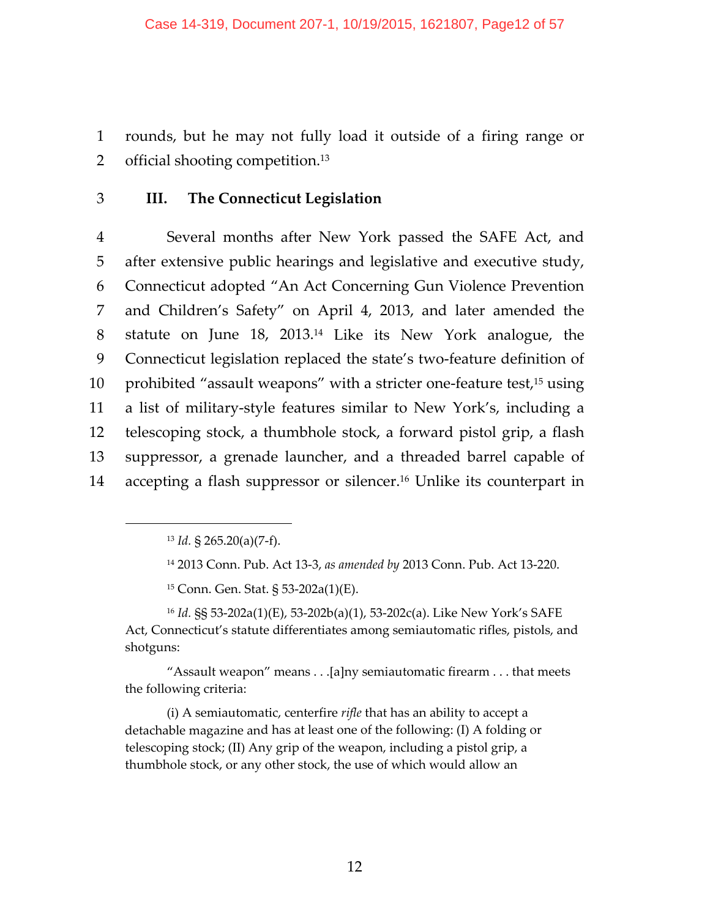1 rounds, but he may not fully load it outside of a firing range or 2 official shooting competition.<sup>13</sup>

# 3 **III. The Connecticut Legislation**

 Several months after New York passed the SAFE Act, and after extensive public hearings and legislative and executive study, Connecticut adopted "An Act Concerning Gun Violence Prevention and Children's Safety" on April 4, 2013, and later amended the 8 statute on June 18, 2013.<sup>14</sup> Like its New York analogue, the 9 Connecticut legislation replaced the state's two-feature definition of 10 prohibited "assault weapons" with a stricter one-feature test,  $15$  using a list of military‐style features similar to New York's, including a telescoping stock, a thumbhole stock, a forward pistol grip, a flash suppressor, a grenade launcher, and a threaded barrel capable of 14 accepting a flash suppressor or silencer.<sup>16</sup> Unlike its counterpart in

<sup>16</sup> *Id.* §§ 53‐202a(1)(E), 53‐202b(a)(1), 53‐202c(a). Like New York's SAFE Act, Connecticut's statute differentiates among semiautomatic rifles, pistols, and shotguns:

"Assault weapon" means . . .[a]ny semiautomatic firearm . . . that meets the following criteria:

(i) A semiautomatic, centerfire *rifle* that has an ability to accept a detachable magazine and has at least one of the following: (I) A folding or telescoping stock; (II) Any grip of the weapon, including a pistol grip, a thumbhole stock, or any other stock, the use of which would allow an

<sup>13</sup> *Id.* § 265.20(a)(7‐f).

<sup>14</sup> 2013 Conn. Pub. Act 13‐3, *as amended by* 2013 Conn. Pub. Act 13‐220.

<sup>15</sup> Conn. Gen. Stat. § 53‐202a(1)(E).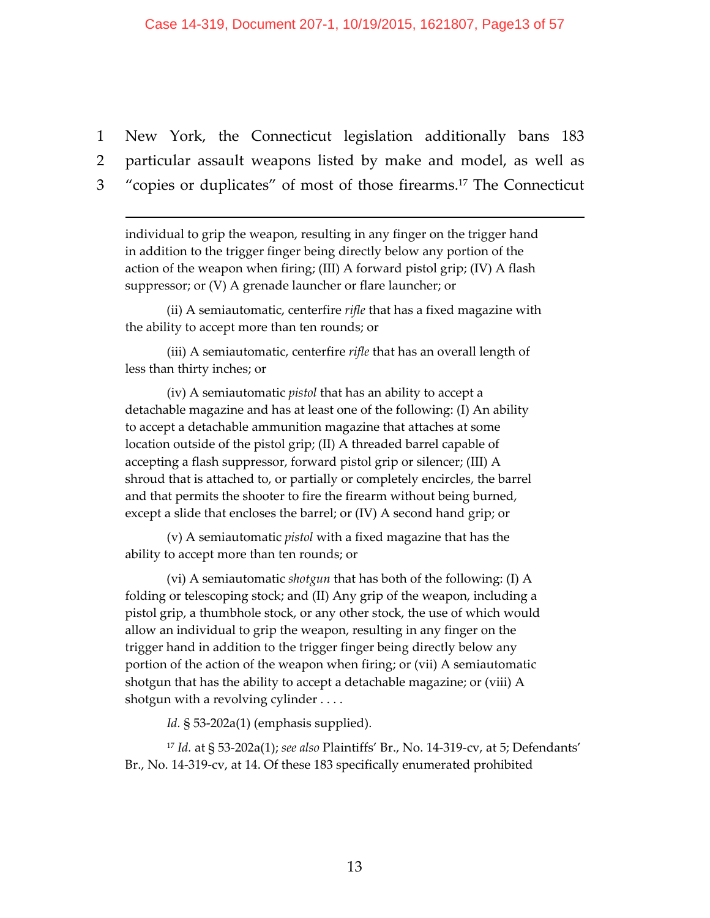- 1 New York, the Connecticut legislation additionally bans 183 2 particular assault weapons listed by make and model, as well as
- 3 "copies or duplicates" of most of those firearms.<sup>17</sup> The Connecticut

<u> 1989 - Andrea Stadt Britain, amerikansk politik (\* 1989)</u>

individual to grip the weapon, resulting in any finger on the trigger hand in addition to the trigger finger being directly below any portion of the action of the weapon when firing; (III) A forward pistol grip; (IV) A flash suppressor; or (V) A grenade launcher or flare launcher; or

(ii) A semiautomatic, centerfire *rifle* that has a fixed magazine with the ability to accept more than ten rounds; or

(iii) A semiautomatic, centerfire *rifle* that has an overall length of less than thirty inches; or

(iv) A semiautomatic *pistol* that has an ability to accept a detachable magazine and has at least one of the following: (I) An ability to accept a detachable ammunition magazine that attaches at some location outside of the pistol grip; (II) A threaded barrel capable of accepting a flash suppressor, forward pistol grip or silencer; (III) A shroud that is attached to, or partially or completely encircles, the barrel and that permits the shooter to fire the firearm without being burned, except a slide that encloses the barrel; or (IV) A second hand grip; or

(v) A semiautomatic *pistol* with a fixed magazine that has the ability to accept more than ten rounds; or

(vi) A semiautomatic *shotgun* that has both of the following: (I) A folding or telescoping stock; and (II) Any grip of the weapon, including a pistol grip, a thumbhole stock, or any other stock, the use of which would allow an individual to grip the weapon, resulting in any finger on the trigger hand in addition to the trigger finger being directly below any portion of the action of the weapon when firing; or (vii) A semiautomatic shotgun that has the ability to accept a detachable magazine; or (viii) A shotgun with a revolving cylinder . . . .

*Id.* § 53‐202a(1) (emphasis supplied).

<sup>17</sup> *Id.* at § 53‐202a(1); *see also* Plaintiffs' Br., No. 14‐319‐cv, at 5; Defendants' Br., No. 14‐319‐cv, at 14. Of these 183 specifically enumerated prohibited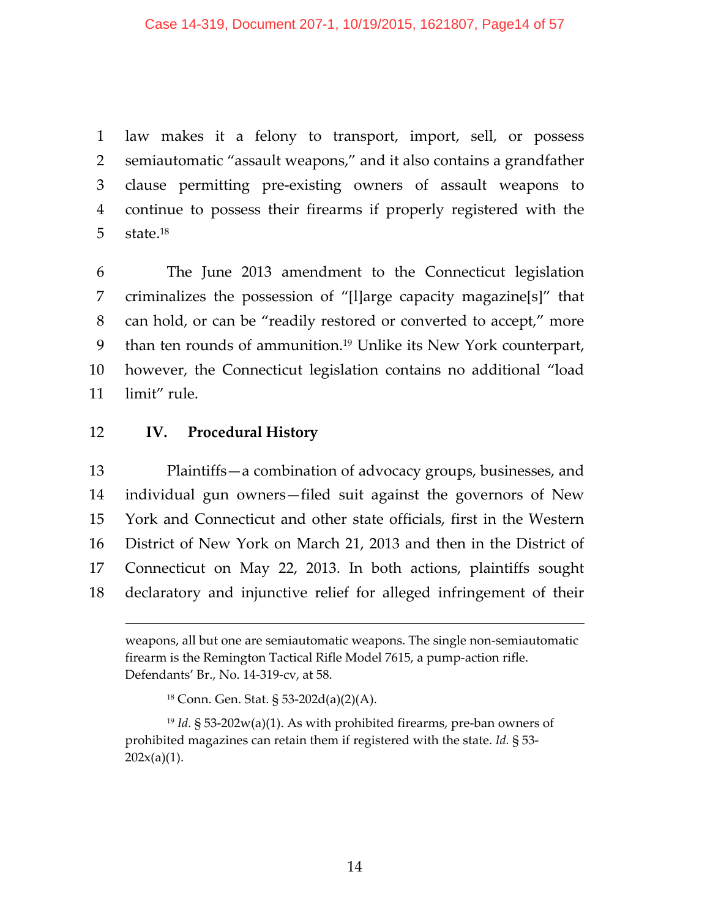#### Case 14-319, Document 207-1, 10/19/2015, 1621807, Page14 of 57

 law makes it a felony to transport, import, sell, or possess semiautomatic "assault weapons," and it also contains a grandfather clause permitting pre‐existing owners of assault weapons to continue to possess their firearms if properly registered with the 5 state.

 The June 2013 amendment to the Connecticut legislation criminalizes the possession of "[l]arge capacity magazine[s]" that can hold, or can be "readily restored or converted to accept," more 9 than ten rounds of ammunition.<sup>19</sup> Unlike its New York counterpart, however, the Connecticut legislation contains no additional "load limit" rule.

**IV. Procedural History**

 Plaintiffs—a combination of advocacy groups, businesses, and individual gun owners—filed suit against the governors of New York and Connecticut and other state officials, first in the Western District of New York on March 21, 2013 and then in the District of Connecticut on May 22, 2013. In both actions, plaintiffs sought declaratory and injunctive relief for alleged infringement of their

<u> Andreas Andreas Andreas Andreas Andreas Andreas Andreas Andreas Andreas Andreas Andreas Andreas Andreas Andr</u>

Conn. Gen. Stat. § 53‐202d(a)(2)(A).

 *Id.* § 53‐202w(a)(1). As with prohibited firearms, pre‐ban owners of prohibited magazines can retain them if registered with the state. *Id.* § 53‐  $202x(a)(1)$ .

weapons, all but one are semiautomatic weapons. The single non‐semiautomatic firearm is the Remington Tactical Rifle Model 7615, a pump‐action rifle. Defendants' Br., No. 14‐319‐cv, at 58.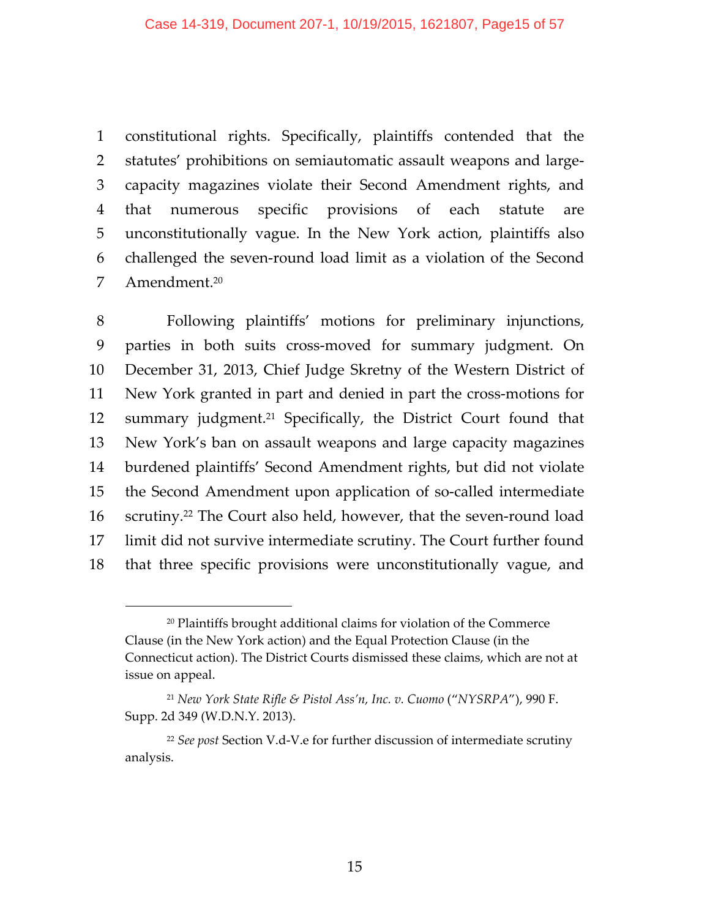constitutional rights. Specifically, plaintiffs contended that the statutes' prohibitions on semiautomatic assault weapons and large‐ capacity magazines violate their Second Amendment rights, and that numerous specific provisions of each statute are unconstitutionally vague. In the New York action, plaintiffs also challenged the seven‐round load limit as a violation of the Second 7 Amendment.<sup>20</sup>

 Following plaintiffs' motions for preliminary injunctions, parties in both suits cross‐moved for summary judgment. On December 31, 2013, Chief Judge Skretny of the Western District of New York granted in part and denied in part the cross‐motions for 12 summary judgment.<sup>21</sup> Specifically, the District Court found that New York's ban on assault weapons and large capacity magazines burdened plaintiffs' Second Amendment rights, but did not violate 15 the Second Amendment upon application of so-called intermediate 16 scrutiny.<sup>22</sup> The Court also held, however, that the seven-round load limit did not survive intermediate scrutiny. The Court further found that three specific provisions were unconstitutionally vague, and

 Plaintiffs brought additional claims for violation of the Commerce Clause (in the New York action) and the Equal Protection Clause (in the Connecticut action). The District Courts dismissed these claims, which are not at issue on appeal.

 *New York State Rifle & Pistol Ass'n, Inc. v. Cuomo* ("*NYSRPA*"), 990 F. Supp. 2d 349 (W.D.N.Y. 2013).

 *See post* Section V.d‐V.e for further discussion of intermediate scrutiny analysis.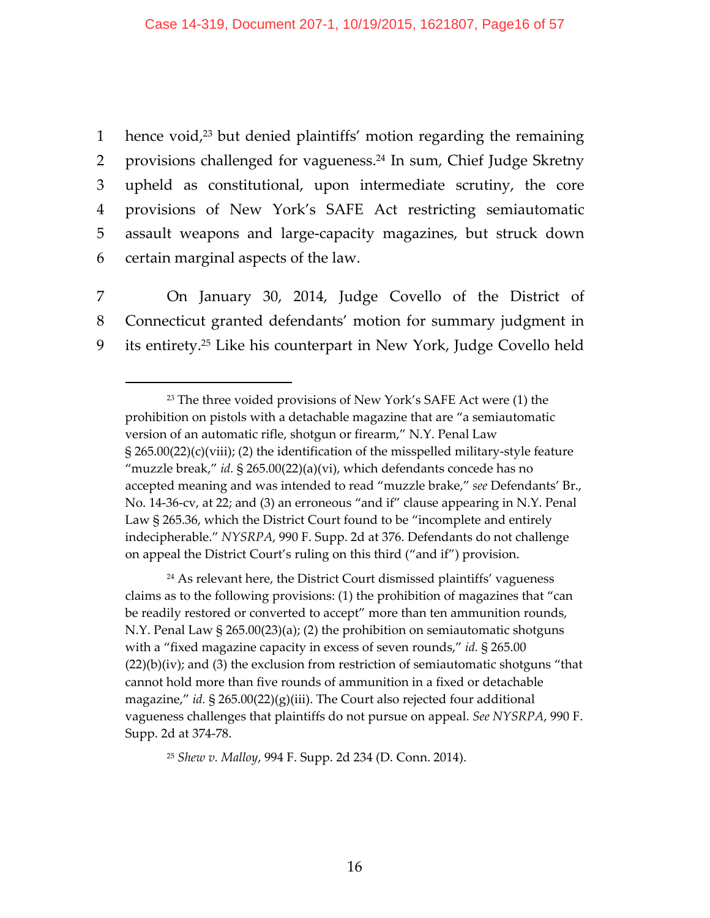1 hence void, $23$  but denied plaintiffs' motion regarding the remaining 2 provisions challenged for vagueness.<sup>24</sup> In sum, Chief Judge Skretny upheld as constitutional, upon intermediate scrutiny, the core provisions of New York's SAFE Act restricting semiautomatic assault weapons and large‐capacity magazines, but struck down certain marginal aspects of the law.

7 On January 30, 2014, Judge Covello of the District of 8 Connecticut granted defendants' motion for summary judgment in 9 its entirety.<sup>25</sup> Like his counterpart in New York, Judge Covello held

<sup>24</sup> As relevant here, the District Court dismissed plaintiffs' vagueness claims as to the following provisions: (1) the prohibition of magazines that "can be readily restored or converted to accept" more than ten ammunition rounds, N.Y. Penal Law § 265.00(23)(a); (2) the prohibition on semiautomatic shotguns with a "fixed magazine capacity in excess of seven rounds," *id.* § 265.00  $(22)(b)(iv)$ ; and  $(3)$  the exclusion from restriction of semiautomatic shotguns "that cannot hold more than five rounds of ammunition in a fixed or detachable magazine," *id.* § 265.00(22)(g)(iii). The Court also rejected four additional vagueness challenges that plaintiffs do not pursue on appeal. *See NYSRPA*, 990 F. Supp. 2d at 374‐78.

<sup>25</sup> *Shew v. Malloy*, 994 F. Supp. 2d 234 (D. Conn. 2014).

<sup>&</sup>lt;sup>23</sup> The three voided provisions of New York's SAFE Act were (1) the prohibition on pistols with a detachable magazine that are "a semiautomatic version of an automatic rifle, shotgun or firearm," N.Y. Penal Law § 265.00(22)(c)(viii); (2) the identification of the misspelled military-style feature "muzzle break," *id.* § 265.00(22)(a)(vi), which defendants concede has no accepted meaning and was intended to read "muzzle brake," *see* Defendants' Br., No. 14‐36‐cv, at 22; and (3) an erroneous "and if" clause appearing in N.Y. Penal Law § 265.36, which the District Court found to be "incomplete and entirely indecipherable." *NYSRPA*, 990 F. Supp. 2d at 376. Defendants do not challenge on appeal the District Court's ruling on this third ("and if") provision.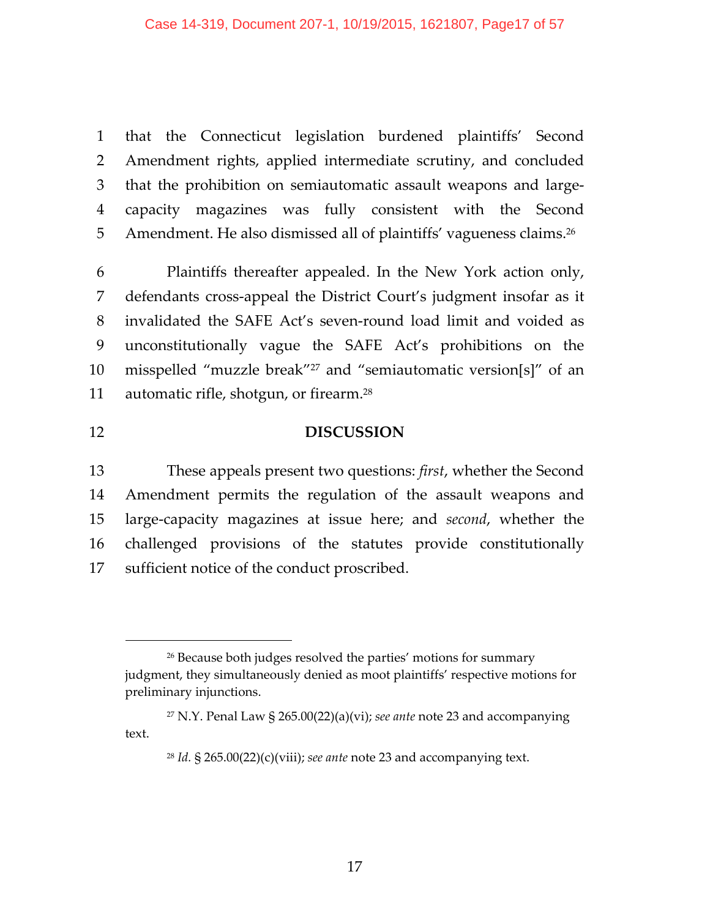that the Connecticut legislation burdened plaintiffs' Second Amendment rights, applied intermediate scrutiny, and concluded that the prohibition on semiautomatic assault weapons and large‐ capacity magazines was fully consistent with the Second 5 Amendment. He also dismissed all of plaintiffs' vagueness claims.<sup>26</sup>

 Plaintiffs thereafter appealed. In the New York action only, 7 defendants cross-appeal the District Court's judgment insofar as it invalidated the SAFE Act's seven‐round load limit and voided as unconstitutionally vague the SAFE Act's prohibitions on the 10 misspelled "muzzle break"<sup>27</sup> and "semiautomatic version[s]" of an 11 automatic rifle, shotgun, or firearm.<sup>28</sup>

#### **DISCUSSION**

 These appeals present two questions: *first*, whether the Second Amendment permits the regulation of the assault weapons and large‐capacity magazines at issue here; and *second*, whether the challenged provisions of the statutes provide constitutionally sufficient notice of the conduct proscribed.

<sup>&</sup>lt;sup>26</sup> Because both judges resolved the parties' motions for summary judgment, they simultaneously denied as moot plaintiffs' respective motions for preliminary injunctions.

 N.Y. Penal Law § 265.00(22)(a)(vi); *see ante* note 23 and accompanying text.

*Id.* § 265.00(22)(c)(viii); *see ante* note 23 and accompanying text.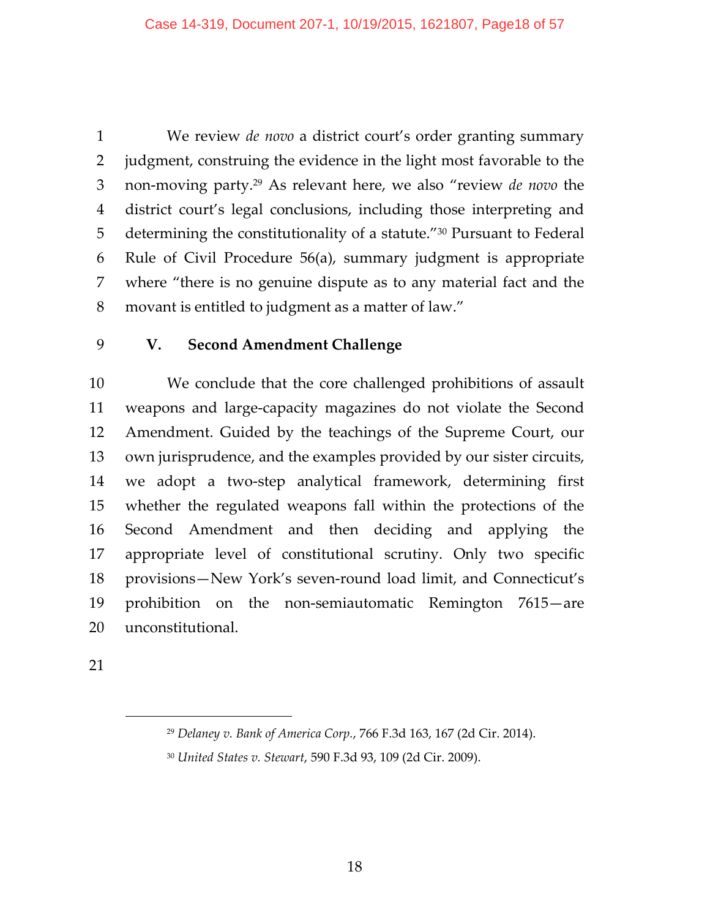We review *de novo* a district court's order granting summary judgment, construing the evidence in the light most favorable to the non‐moving party. <sup>29</sup> As relevant here, we also "review *de novo* the district court's legal conclusions, including those interpreting and 5 determining the constitutionality of a statute."<sup>30</sup> Pursuant to Federal Rule of Civil Procedure 56(a), summary judgment is appropriate where "there is no genuine dispute as to any material fact and the movant is entitled to judgment as a matter of law."

**V. Second Amendment Challenge**

 We conclude that the core challenged prohibitions of assault weapons and large‐capacity magazines do not violate the Second Amendment. Guided by the teachings of the Supreme Court, our own jurisprudence, and the examples provided by our sister circuits, we adopt a two‐step analytical framework, determining first whether the regulated weapons fall within the protections of the Second Amendment and then deciding and applying the appropriate level of constitutional scrutiny. Only two specific 18 provisions—New York's seven-round load limit, and Connecticut's 19 prohibition on the non-semiautomatic Remington 7615—are unconstitutional.

*Delaney v. Bank of America Corp.*, 766 F.3d 163, 167 (2d Cir. 2014).

*United States v. Stewart*, 590 F.3d 93, 109 (2d Cir. 2009).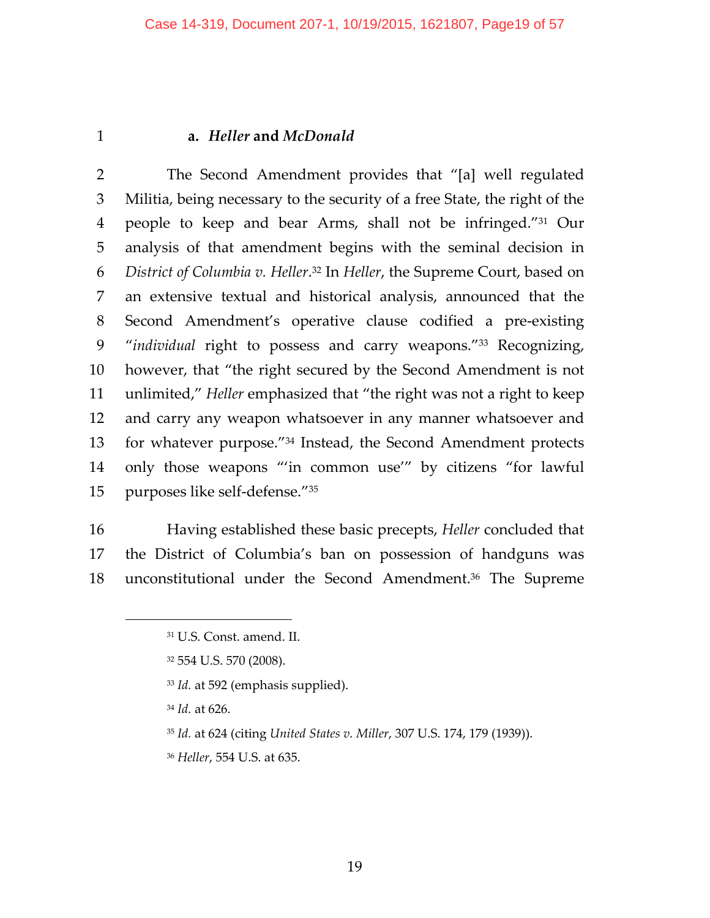#### **a.** *Heller* **and** *McDonald*

 The Second Amendment provides that "[a] well regulated Militia, being necessary to the security of a free State, the right of the 4 people to keep and bear Arms, shall not be infringed."<sup>31</sup> Our analysis of that amendment begins with the seminal decision in *District of Columbia v. Heller*. <sup>32</sup> In *Heller*, the Supreme Court, based on an extensive textual and historical analysis, announced that the Second Amendment's operative clause codified a pre‐existing 9 "*individual* right to possess and carry weapons.<sup>"33</sup> Recognizing, however, that "the right secured by the Second Amendment is not unlimited," *Heller* emphasized that "the right was not a right to keep and carry any weapon whatsoever in any manner whatsoever and 13 for whatever purpose."<sup>34</sup> Instead, the Second Amendment protects only those weapons "'in common use'" by citizens "for lawful 15 purposes like self-defense."35

 Having established these basic precepts, *Heller* concluded that the District of Columbia's ban on possession of handguns was 18 unconstitutional under the Second Amendment.<sup>36</sup> The Supreme

U.S. Const. amend. II.

554 U.S. 570 (2008).

*Id.* at 592 (emphasis supplied).

*Id.* at 626.

*Id.* at 624 (citing *United States v. Miller*, 307 U.S. 174, 179 (1939)).

*Heller*, 554 U.S. at 635.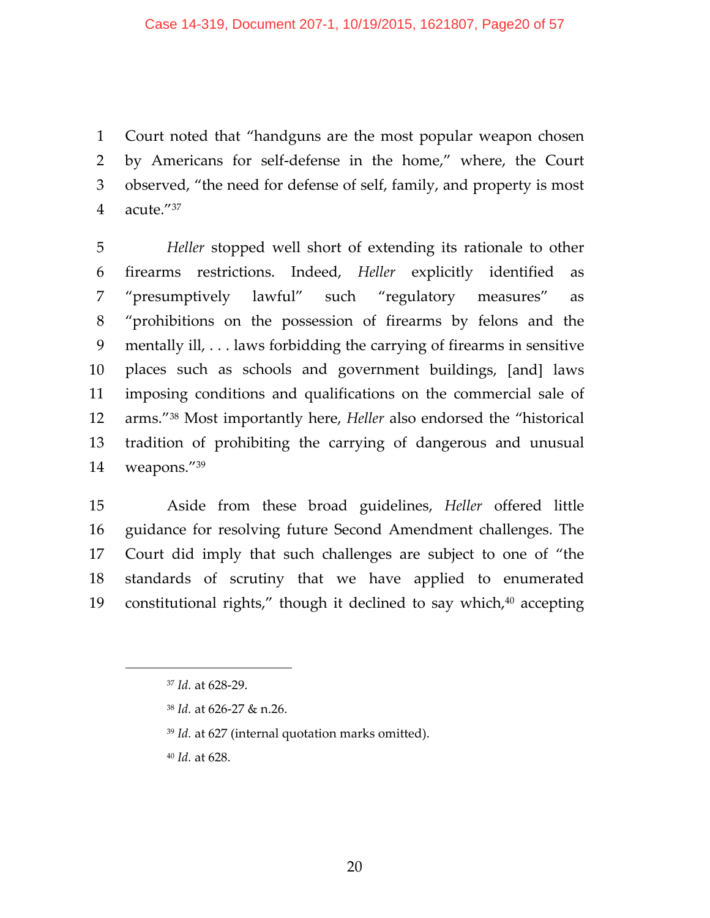Court noted that "handguns are the most popular weapon chosen by Americans for self‐defense in the home," where, the Court observed, "the need for defense of self, family, and property is most  $acute''<sup>37</sup>$ 

 *Heller* stopped well short of extending its rationale to other firearms restrictions. Indeed, *Heller* explicitly identified as "presumptively lawful" such "regulatory measures" as "prohibitions on the possession of firearms by felons and the mentally ill, . . . laws forbidding the carrying of firearms in sensitive places such as schools and government buildings, [and] laws imposing conditions and qualifications on the commercial sale of 12 arms."<sup>38</sup> Most importantly here, *Heller* also endorsed the "historical" tradition of prohibiting the carrying of dangerous and unusual 14 weapons."<sup>39</sup>

 Aside from these broad guidelines, *Heller* offered little guidance for resolving future Second Amendment challenges. The Court did imply that such challenges are subject to one of "the standards of scrutiny that we have applied to enumerated 19 constitutional rights," though it declined to say which, accepting

*Id.* at 628.

 *Id.* at 628‐29.

*Id.* at 626‐27 & n.26.

*Id.* at 627 (internal quotation marks omitted).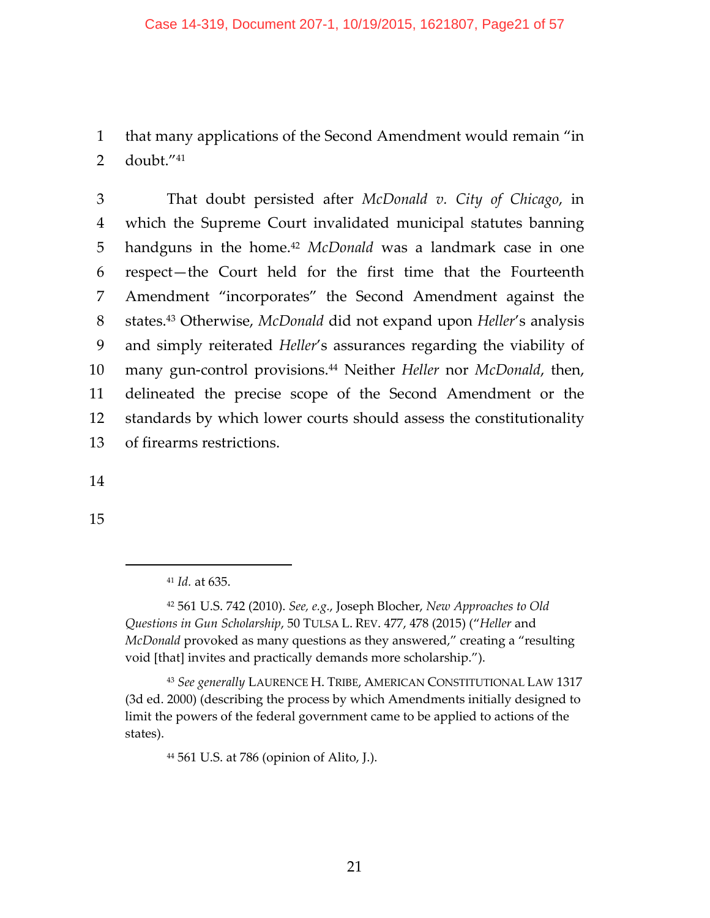that many applications of the Second Amendment would remain "in 2  $doubt."41$ 

 That doubt persisted after *McDonald v. City of Chicago*, in which the Supreme Court invalidated municipal statutes banning 5 handguns in the home.<sup>42</sup> *McDonald* was a landmark case in one respect—the Court held for the first time that the Fourteenth Amendment "incorporates" the Second Amendment against the states. <sup>43</sup> Otherwise, *McDonald* did not expand upon *Heller*'s analysis and simply reiterated *Heller*'s assurances regarding the viability of 10 many gun-control provisions.<sup>44</sup> Neither *Heller* nor *McDonald*, then, delineated the precise scope of the Second Amendment or the standards by which lower courts should assess the constitutionality of firearms restrictions.

 *See generally* LAURENCE H. TRIBE, AMERICAN CONSTITUTIONAL LAW 1317 (3d ed. 2000) (describing the process by which Amendments initially designed to limit the powers of the federal government came to be applied to actions of the states).

561 U.S. at 786 (opinion of Alito, J.).

*Id.* at 635.

 561 U.S. 742 (2010). *See, e.g.*, Joseph Blocher, *New Approaches to Old Questions in Gun Scholarship*, 50 TULSA L. REV. 477, 478 (2015) ("*Heller* and *McDonald* provoked as many questions as they answered," creating a "resulting void [that] invites and practically demands more scholarship.").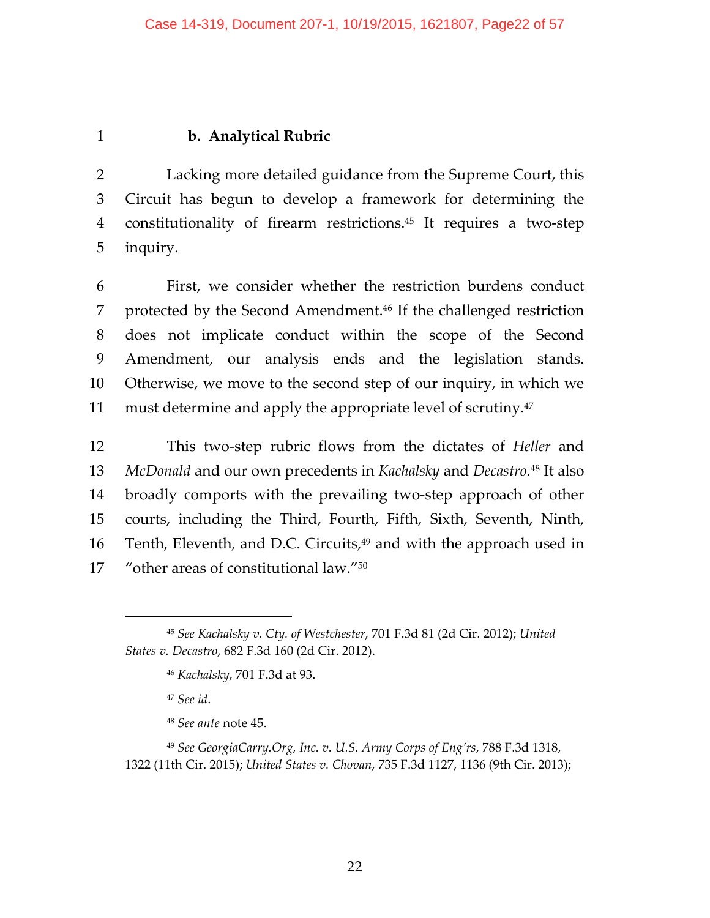# **b. Analytical Rubric**

 Lacking more detailed guidance from the Supreme Court, this Circuit has begun to develop a framework for determining the 4 constitutionality of firearm restrictions.<sup>45</sup> It requires a two-step inquiry.

 First, we consider whether the restriction burdens conduct 7 protected by the Second Amendment.<sup>46</sup> If the challenged restriction does not implicate conduct within the scope of the Second Amendment, our analysis ends and the legislation stands. Otherwise, we move to the second step of our inquiry, in which we 11 must determine and apply the appropriate level of scrutiny.<sup>47</sup>

 This two‐step rubric flows from the dictates of *Heller* and 13 *McDonald* and our own precedents in *Kachalsky* and *Decastro*.<sup>48</sup> It also 14 broadly comports with the prevailing two-step approach of other courts, including the Third, Fourth, Fifth, Sixth, Seventh, Ninth, 16 Tenth, Eleventh, and D.C. Circuits, and with the approach used in 17 "other areas of constitutional law."

 *See Kachalsky v. Cty. of Westchester*, 701 F.3d 81 (2d Cir. 2012); *United States v. Decastro*, 682 F.3d 160 (2d Cir. 2012).

*Kachalsky*, 701 F.3d at 93.

*See id*.

*See ante* note 45.

 *See GeorgiaCarry.Org, Inc. v. U.S. Army Corps of Eng'rs*, 788 F.3d 1318, (11th Cir. 2015); *United States v. Chovan*, 735 F.3d 1127, 1136 (9th Cir. 2013);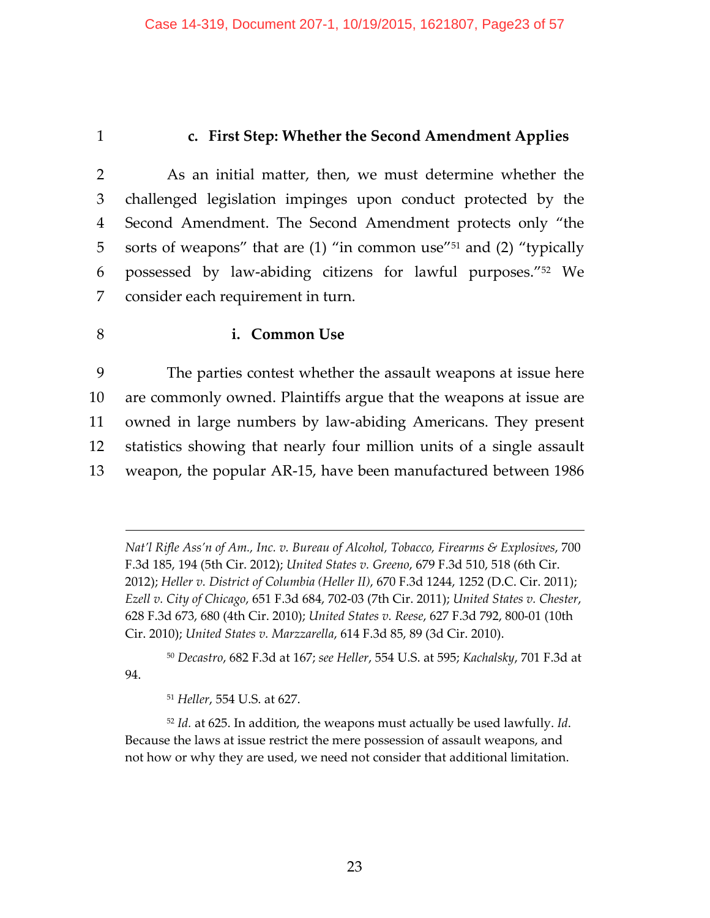# 1 **c. First Step: Whether the Second Amendment Applies**

 As an initial matter, then, we must determine whether the challenged legislation impinges upon conduct protected by the Second Amendment. The Second Amendment protects only "the 5 sorts of weapons" that are  $(1)$  "in common use"<sup>51</sup> and  $(2)$  "typically" 6 possessed by law-abiding citizens for lawful purposes."<sup>52</sup> We consider each requirement in turn.

## 8 **i. Common Use**

 The parties contest whether the assault weapons at issue here are commonly owned. Plaintiffs argue that the weapons at issue are owned in large numbers by law‐abiding Americans. They present statistics showing that nearly four million units of a single assault weapon, the popular AR‐15, have been manufactured between 1986

<u> Andreas Andreas Andreas Andreas Andreas Andreas Andreas Andreas Andreas Andreas Andreas Andreas Andreas Andr</u>

<sup>50</sup> *Decastro*, 682 F.3d at 167; *see Heller*, 554 U.S. at 595; *Kachalsky*, 701 F.3d at 94.

<sup>51</sup> *Heller*, 554 U.S. at 627.

<sup>52</sup> *Id.* at 625. In addition, the weapons must actually be used lawfully. *Id*. Because the laws at issue restrict the mere possession of assault weapons, and not how or why they are used, we need not consider that additional limitation.

*Nat'l Rifle Ass'n of Am., Inc. v. Bureau of Alcohol, Tobacco, Firearms & Explosives*, 700 F.3d 185, 194 (5th Cir. 2012); *United States v. Greeno*, 679 F.3d 510, 518 (6th Cir. 2012); *Heller v. District of Columbia (Heller II)*, 670 F.3d 1244, 1252 (D.C. Cir. 2011); *Ezell v. City of Chicago*, 651 F.3d 684, 702‐03 (7th Cir. 2011); *United States v. Chester*, 628 F.3d 673, 680 (4th Cir. 2010); *United States v. Reese*, 627 F.3d 792, 800‐01 (10th Cir. 2010); *United States v. Marzzarella*, 614 F.3d 85, 89 (3d Cir. 2010).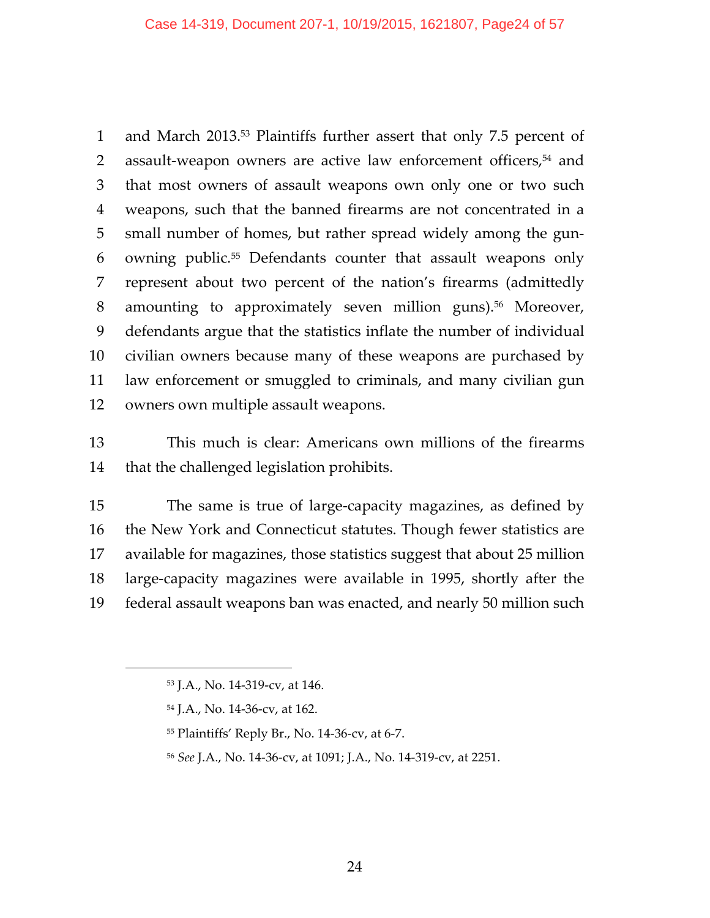1 and March 2013.<sup>53</sup> Plaintiffs further assert that only 7.5 percent of 2 assault-weapon owners are active law enforcement officers,<sup>54</sup> and that most owners of assault weapons own only one or two such weapons, such that the banned firearms are not concentrated in a 5 small number of homes, but rather spread widely among the gun-6 owning public.<sup>55</sup> Defendants counter that assault weapons only represent about two percent of the nation's firearms (admittedly 8 amounting to approximately seven million guns).<sup>56</sup> Moreover, defendants argue that the statistics inflate the number of individual civilian owners because many of these weapons are purchased by law enforcement or smuggled to criminals, and many civilian gun owners own multiple assault weapons.

 This much is clear: Americans own millions of the firearms that the challenged legislation prohibits.

15 The same is true of large-capacity magazines, as defined by the New York and Connecticut statutes. Though fewer statistics are available for magazines, those statistics suggest that about 25 million 18 large-capacity magazines were available in 1995, shortly after the federal assault weapons ban was enacted, and nearly 50 million such

Plaintiffs' Reply Br., No. 14‐36‐cv, at 6‐7.

J.A., No. 14‐319‐cv, at 146.

J.A., No. 14‐36‐cv, at 162.

*See* J.A., No. 14‐36‐cv, at 1091; J.A., No. 14‐319‐cv, at 2251.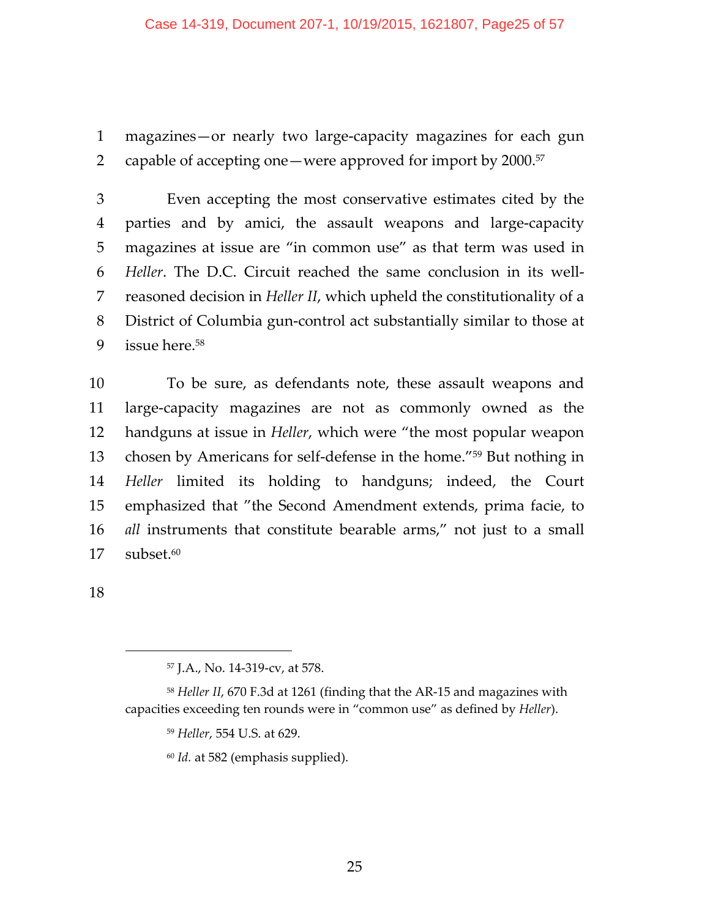magazines—or nearly two large‐capacity magazines for each gun 2 capable of accepting one—were approved for import by 2000.<sup>57</sup>

 Even accepting the most conservative estimates cited by the parties and by amici, the assault weapons and large‐capacity magazines at issue are "in common use" as that term was used in *Heller*. The D.C. Circuit reached the same conclusion in its well‐ reasoned decision in *Heller II*, which upheld the constitutionality of a District of Columbia gun‐control act substantially similar to those at 9 issue here.<sup>58</sup>

 To be sure, as defendants note, these assault weapons and 11 large-capacity magazines are not as commonly owned as the handguns at issue in *Heller*, which were "the most popular weapon 13 chosen by Americans for self-defense in the home."<sup>59</sup> But nothing in *Heller* limited its holding to handguns; indeed, the Court emphasized that "the Second Amendment extends, prima facie, to *all* instruments that constitute bearable arms," not just to a small 17 subset.<sup>60</sup>

 *Heller II*, 670 F.3d at 1261 (finding that the AR‐15 and magazines with capacities exceeding ten rounds were in "common use" as defined by *Heller*).

*Heller*, 554 U.S. at 629.

*Id.* at 582 (emphasis supplied).

J.A., No. 14‐319‐cv, at 578.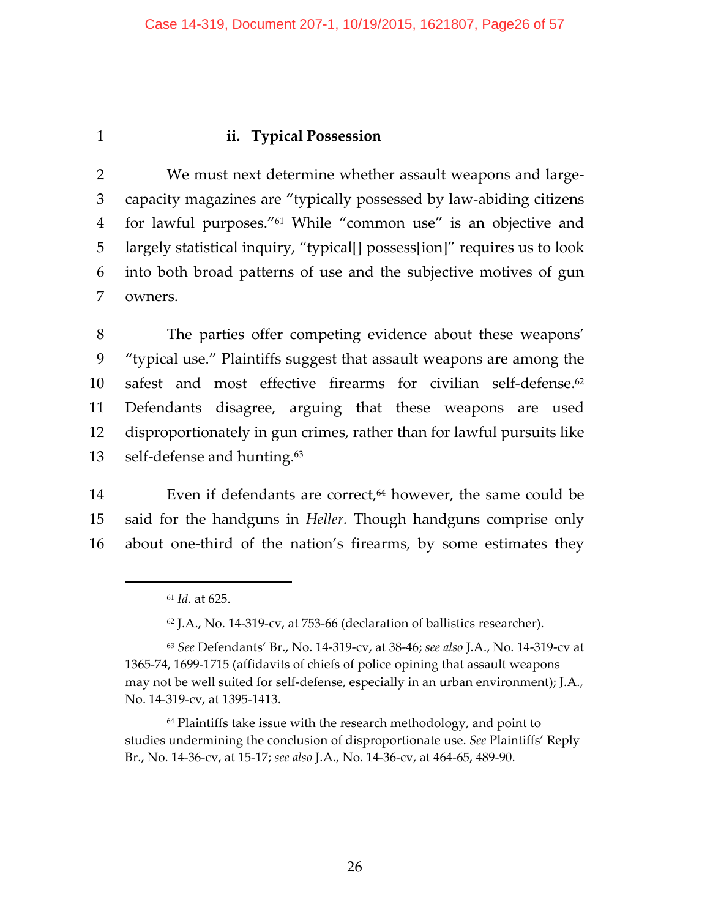# 1 **ii. Typical Possession**

2 We must next determine whether assault weapons and large- capacity magazines are "typically possessed by law‐abiding citizens 4 for lawful purposes."<sup>61</sup> While "common use" is an objective and largely statistical inquiry, "typical[] possess[ion]" requires us to look into both broad patterns of use and the subjective motives of gun owners.

 The parties offer competing evidence about these weapons' "typical use." Plaintiffs suggest that assault weapons are among the 10 safest and most effective firearms for civilian self-defense.<sup>62</sup> Defendants disagree, arguing that these weapons are used disproportionately in gun crimes, rather than for lawful pursuits like 13 self-defense and hunting.<sup>63</sup>

14 Even if defendants are correct,<sup>64</sup> however, the same could be 15 said for the handguns in *Heller.* Though handguns comprise only 16 about one-third of the nation's firearms, by some estimates they

 $62$  J.A., No. 14-319-cv, at 753-66 (declaration of ballistics researcher).

<sup>63</sup> *See* Defendants' Br., No. 14‐319‐cv, at 38‐46; *see also* J.A., No. 14‐319‐cv at 1365‐74, 1699‐1715 (affidavits of chiefs of police opining that assault weapons may not be well suited for self-defense, especially in an urban environment); J.A., No. 14‐319‐cv, at 1395‐1413.

 $64$  Plaintiffs take issue with the research methodology, and point to studies undermining the conclusion of disproportionate use. *See* Plaintiffs' Reply Br., No. 14‐36‐cv, at 15‐17; *see also* J.A., No. 14‐36‐cv, at 464‐65, 489‐90.

<sup>61</sup> *Id.* at 625.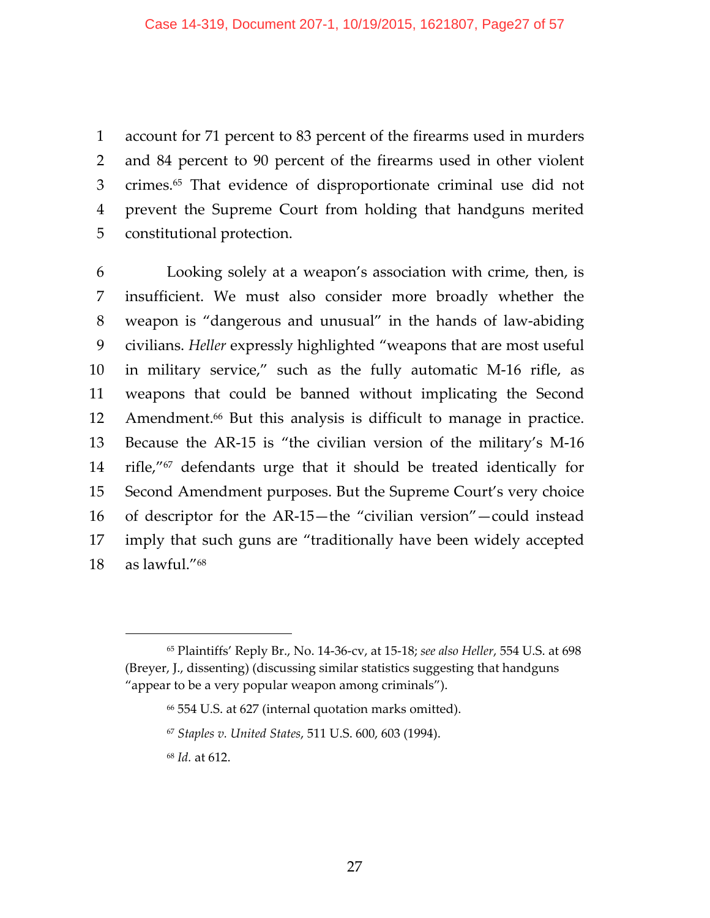account for 71 percent to 83 percent of the firearms used in murders and 84 percent to 90 percent of the firearms used in other violent 3 crimes.<sup>65</sup> That evidence of disproportionate criminal use did not prevent the Supreme Court from holding that handguns merited constitutional protection.

 Looking solely at a weapon's association with crime, then, is insufficient. We must also consider more broadly whether the weapon is "dangerous and unusual" in the hands of law‐abiding civilians. *Heller* expressly highlighted "weapons that are most useful 10 in military service," such as the fully automatic M-16 rifle, as weapons that could be banned without implicating the Second 12 Amendment.<sup>66</sup> But this analysis is difficult to manage in practice. Because the AR‐15 is "the civilian version of the military's M‐16 14 rifle,"<sup>67</sup> defendants urge that it should be treated identically for Second Amendment purposes. But the Supreme Court's very choice 16 of descriptor for the AR-15—the "civilian version"—could instead imply that such guns are "traditionally have been widely accepted  $\alpha$  as lawful."<sup>68</sup>

 Plaintiffs' Reply Br., No. 14‐36‐cv, at 15‐18; *see also Heller*, 554 U.S. at 698 (Breyer, J., dissenting) (discussing similar statistics suggesting that handguns "appear to be a very popular weapon among criminals").

554 U.S. at 627 (internal quotation marks omitted).

*Staples v. United States*, 511 U.S. 600, 603 (1994).

*Id.* at 612.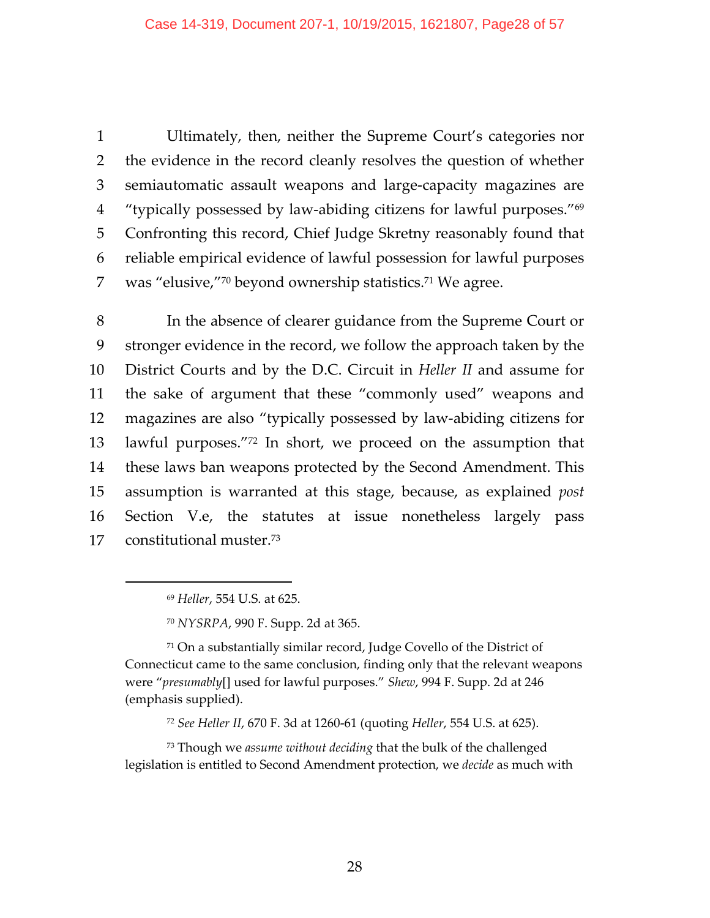Ultimately, then, neither the Supreme Court's categories nor the evidence in the record cleanly resolves the question of whether semiautomatic assault weapons and large‐capacity magazines are "typically possessed by law‐abiding citizens for lawful purposes."69 Confronting this record, Chief Judge Skretny reasonably found that reliable empirical evidence of lawful possession for lawful purposes 7 was "elusive,"<sup>70</sup> beyond ownership statistics.<sup>71</sup> We agree.

 In the absence of clearer guidance from the Supreme Court or stronger evidence in the record, we follow the approach taken by the District Courts and by the D.C. Circuit in *Heller II* and assume for the sake of argument that these "commonly used" weapons and magazines are also "typically possessed by law‐abiding citizens for 13 lawful purposes."<sup>72</sup> In short, we proceed on the assumption that these laws ban weapons protected by the Second Amendment. This assumption is warranted at this stage, because, as explained *post* Section V.e, the statutes at issue nonetheless largely pass 17 constitutional muster.<sup>73</sup>

*Heller*, 554 U.S. at 625.

*NYSRPA*, 990 F. Supp. 2d at 365.

 On a substantially similar record, Judge Covello of the District of Connecticut came to the same conclusion, finding only that the relevant weapons were "*presumably*[] used for lawful purposes." *Shew*, 994 F. Supp. 2d at 246 (emphasis supplied).

*See Heller II*, 670 F. 3d at 1260‐61 (quoting *Heller*, 554 U.S. at 625).

 Though we *assume without deciding* that the bulk of the challenged legislation is entitled to Second Amendment protection, we *decide* as much with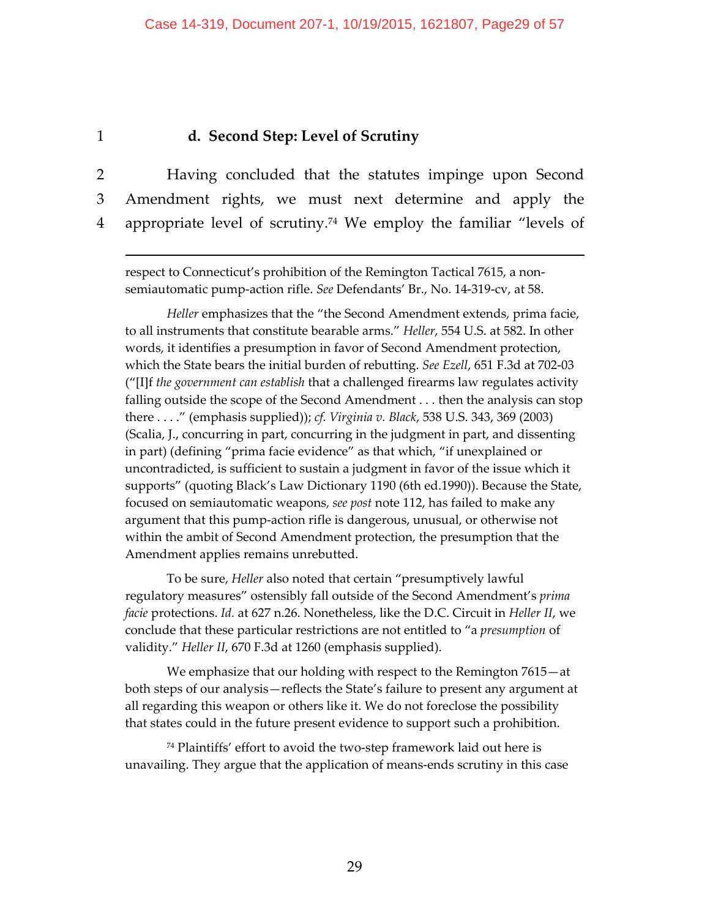# 1 **d. Second Step: Level of Scrutiny**

2 Having concluded that the statutes impinge upon Second 3 Amendment rights, we must next determine and apply the 4 appropriate level of scrutiny.<sup>74</sup> We employ the familiar "levels of

respect to Connecticut's prohibition of the Remington Tactical 7615, a non‐ semiautomatic pump‐action rifle. *See* Defendants' Br., No. 14‐319‐cv, at 58.

*Heller* emphasizes that the "the Second Amendment extends, prima facie, to all instruments that constitute bearable arms." *Heller*, 554 U.S. at 582. In other words, it identifies a presumption in favor of Second Amendment protection, which the State bears the initial burden of rebutting. *See Ezell*, 651 F.3d at 702‐03 ("[I]f *the government can establish* that a challenged firearms law regulates activity falling outside the scope of the Second Amendment . . . then the analysis can stop there . . . ." (emphasis supplied)); *cf. Virginia v. Black*, 538 U.S. 343, 369 (2003) (Scalia, J., concurring in part, concurring in the judgment in part, and dissenting in part) (defining "prima facie evidence" as that which, "if unexplained or uncontradicted, is sufficient to sustain a judgment in favor of the issue which it supports" (quoting Black's Law Dictionary 1190 (6th ed.1990)). Because the State, focused on semiautomatic weapons, *see post* note 112, has failed to make any argument that this pump‐action rifle is dangerous, unusual, or otherwise not within the ambit of Second Amendment protection, the presumption that the Amendment applies remains unrebutted.

To be sure, *Heller* also noted that certain "presumptively lawful regulatory measures" ostensibly fall outside of the Second Amendment's *prima facie* protections. *Id.* at 627 n.26. Nonetheless, like the D.C. Circuit in *Heller II*, we conclude that these particular restrictions are not entitled to "a *presumption* of validity." *Heller II*, 670 F.3d at 1260 (emphasis supplied).

We emphasize that our holding with respect to the Remington 7615—at both steps of our analysis—reflects the State's failure to present any argument at all regarding this weapon or others like it. We do not foreclose the possibility that states could in the future present evidence to support such a prohibition.

<sup>74</sup> Plaintiffs' effort to avoid the two-step framework laid out here is unavailing. They argue that the application of means‐ends scrutiny in this case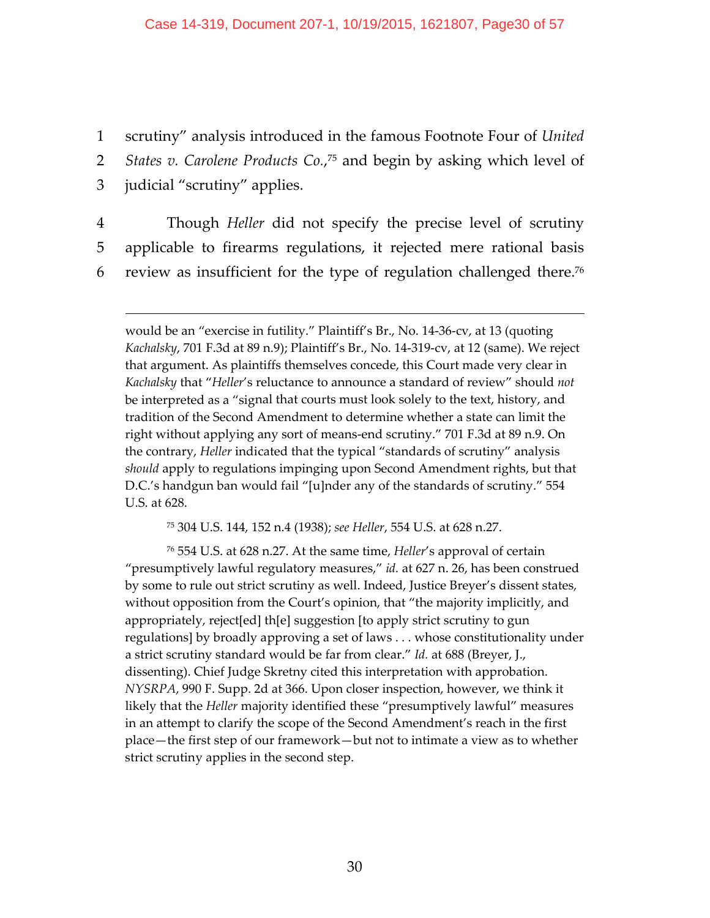1 scrutiny" analysis introduced in the famous Footnote Four of *United*

*States v. Carolene Products Co.*, <sup>75</sup> 2 and begin by asking which level of

- 3 judicial "scrutiny" applies.
- 4 Though *Heller* did not specify the precise level of scrutiny 5 applicable to firearms regulations, it rejected mere rational basis 6 review as insufficient for the type of regulation challenged there.<sup>76</sup>

would be an "exercise in futility." Plaintiff's Br., No. 14‐36‐cv, at 13 (quoting *Kachalsky*, 701 F.3d at 89 n.9); Plaintiff's Br., No. 14‐319‐cv, at 12 (same). We reject that argument. As plaintiffs themselves concede, this Court made very clear in *Kachalsky* that "*Heller*'s reluctance to announce a standard of review" should *not* be interpreted as a "signal that courts must look solely to the text, history, and tradition of the Second Amendment to determine whether a state can limit the right without applying any sort of means‐end scrutiny." 701 F.3d at 89 n.9. On the contrary, *Heller* indicated that the typical "standards of scrutiny" analysis *should* apply to regulations impinging upon Second Amendment rights, but that D.C.'s handgun ban would fail "[u]nder any of the standards of scrutiny." 554 U.S. at 628.

<u> Andreas Andreas Andreas Andreas Andreas Andreas Andreas Andreas Andreas Andreas Andreas Andreas Andreas Andr</u>

<sup>75</sup> 304 U.S. 144, 152 n.4 (1938); *see Heller*, 554 U.S. at 628 n.27.

<sup>76</sup> 554 U.S. at 628 n.27. At the same time, *Heller*'s approval of certain "presumptively lawful regulatory measures," *id.* at 627 n. 26, has been construed by some to rule out strict scrutiny as well. Indeed, Justice Breyer's dissent states, without opposition from the Court's opinion, that "the majority implicitly, and appropriately, reject[ed] th[e] suggestion [to apply strict scrutiny to gun regulations] by broadly approving a set of laws . . . whose constitutionality under a strict scrutiny standard would be far from clear." *Id.* at 688 (Breyer, J., dissenting). Chief Judge Skretny cited this interpretation with approbation. *NYSRPA*, 990 F. Supp. 2d at 366. Upon closer inspection, however, we think it likely that the *Heller* majority identified these "presumptively lawful" measures in an attempt to clarify the scope of the Second Amendment's reach in the first place—the first step of our framework—but not to intimate a view as to whether strict scrutiny applies in the second step.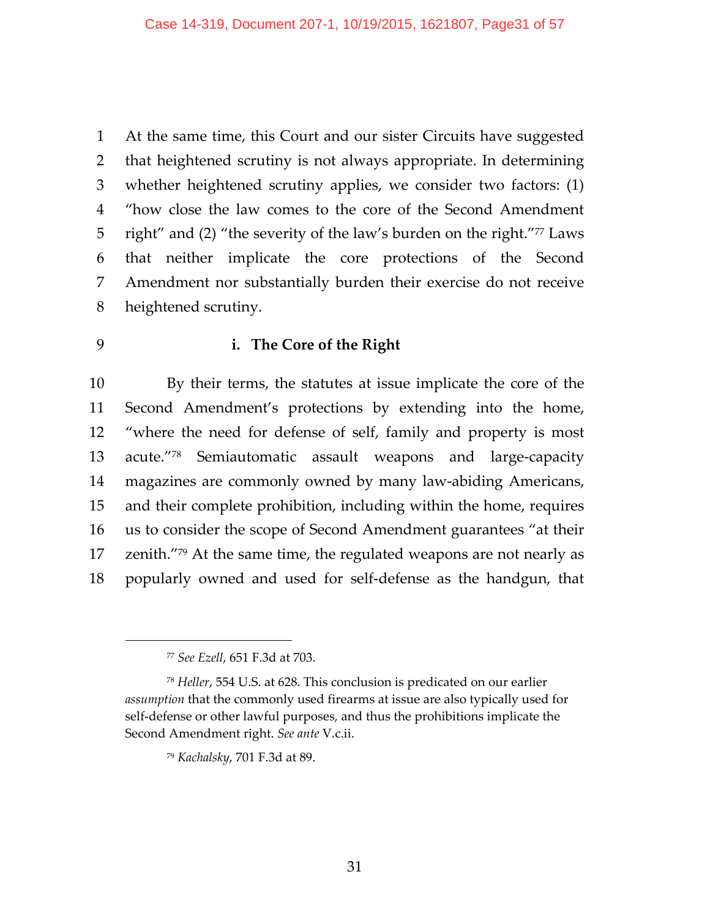At the same time, this Court and our sister Circuits have suggested that heightened scrutiny is not always appropriate. In determining whether heightened scrutiny applies, we consider two factors: (1) "how close the law comes to the core of the Second Amendment 5 right" and (2) "the severity of the law's burden on the right." Laws that neither implicate the core protections of the Second Amendment nor substantially burden their exercise do not receive heightened scrutiny.

# **i. The Core of the Right**

 By their terms, the statutes at issue implicate the core of the Second Amendment's protections by extending into the home, "where the need for defense of self, family and property is most 13 acute."78 Semiautomatic assault weapons and large-capacity magazines are commonly owned by many law‐abiding Americans, and their complete prohibition, including within the home, requires us to consider the scope of Second Amendment guarantees "at their zenith."<sup>79</sup> At the same time, the regulated weapons are not nearly as popularly owned and used for self‐defense as the handgun, that

*See Ezell*, 651 F.3d at 703.

 *Heller*, 554 U.S. at 628. This conclusion is predicated on our earlier *assumption* that the commonly used firearms at issue are also typically used for self-defense or other lawful purposes, and thus the prohibitions implicate the Second Amendment right. *See ante* V.c.ii.

*Kachalsky*, 701 F.3d at 89.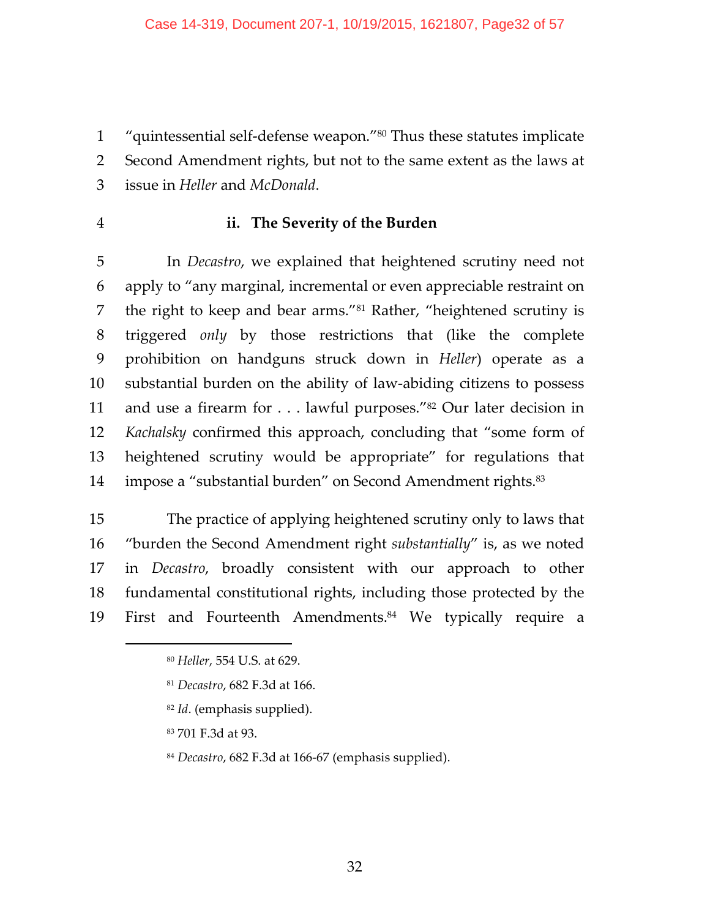1 "quintessential self-defense weapon."<sup>80</sup> Thus these statutes implicate Second Amendment rights, but not to the same extent as the laws at issue in *Heller* and *McDonald*.

## **ii. The Severity of the Burden**

 In *Decastro*, we explained that heightened scrutiny need not apply to "any marginal, incremental or even appreciable restraint on 7 the right to keep and bear arms." Rather, "heightened scrutiny is triggered *only* by those restrictions that (like the complete prohibition on handguns struck down in *Heller*) operate as a substantial burden on the ability of law‐abiding citizens to possess 11 and use a firearm for  $\dots$  lawful purposes."<sup>82</sup> Our later decision in *Kachalsky* confirmed this approach, concluding that "some form of heightened scrutiny would be appropriate" for regulations that 14 impose a "substantial burden" on Second Amendment rights.<sup>83</sup>

 The practice of applying heightened scrutiny only to laws that "burden the Second Amendment right *substantially*" is, as we noted in *Decastro*, broadly consistent with our approach to other fundamental constitutional rights, including those protected by the 19 First and Fourteenth Amendments.<sup>84</sup> We typically require a

- *Id*. (emphasis supplied).
- 701 F.3d at 93.

*Heller*, 554 U.S. at 629.

*Decastro*, 682 F.3d at 166.

*Decastro*, 682 F.3d at 166‐67 (emphasis supplied).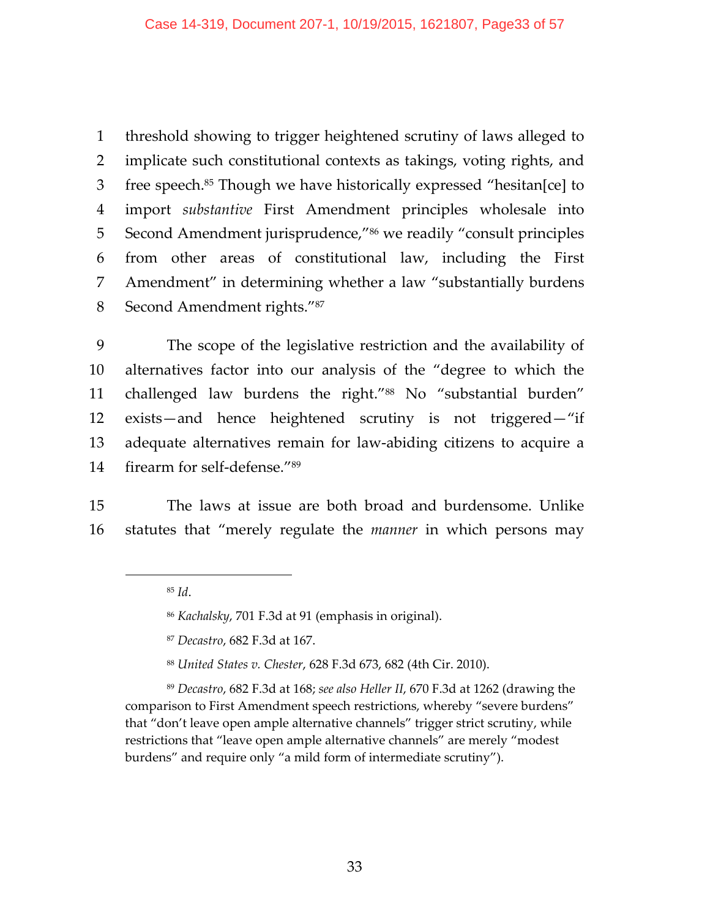threshold showing to trigger heightened scrutiny of laws alleged to implicate such constitutional contexts as takings, voting rights, and 3 free speech.<sup>85</sup> Though we have historically expressed "hesitan[ce] to import *substantive* First Amendment principles wholesale into 5 Second Amendment jurisprudence,"<sup>86</sup> we readily "consult principles from other areas of constitutional law, including the First Amendment" in determining whether a law "substantially burdens 8 Second Amendment rights."87

9 The scope of the legislative restriction and the availability of 10 alternatives factor into our analysis of the "degree to which the 11 challenged law burdens the right."<sup>88</sup> No "substantial burden" 12 exists—and hence heightened scrutiny is not triggered—"if 13 adequate alternatives remain for law-abiding citizens to acquire a 14 firearm for self-defense."<sup>89</sup>

15 The laws at issue are both broad and burdensome. Unlike 16 statutes that "merely regulate the *manner* in which persons may

<sup>86</sup> *Kachalsky*, 701 F.3d at 91 (emphasis in original).

<sup>87</sup> *Decastro*, 682 F.3d at 167.

<sup>88</sup> *United States v. Chester*, 628 F.3d 673, 682 (4th Cir. 2010).

<sup>89</sup> *Decastro*, 682 F.3d at 168; *see also Heller II*, 670 F.3d at 1262 (drawing the comparison to First Amendment speech restrictions, whereby "severe burdens" that "don't leave open ample alternative channels" trigger strict scrutiny, while restrictions that "leave open ample alternative channels" are merely "modest burdens" and require only "a mild form of intermediate scrutiny").

<sup>85</sup> *Id*.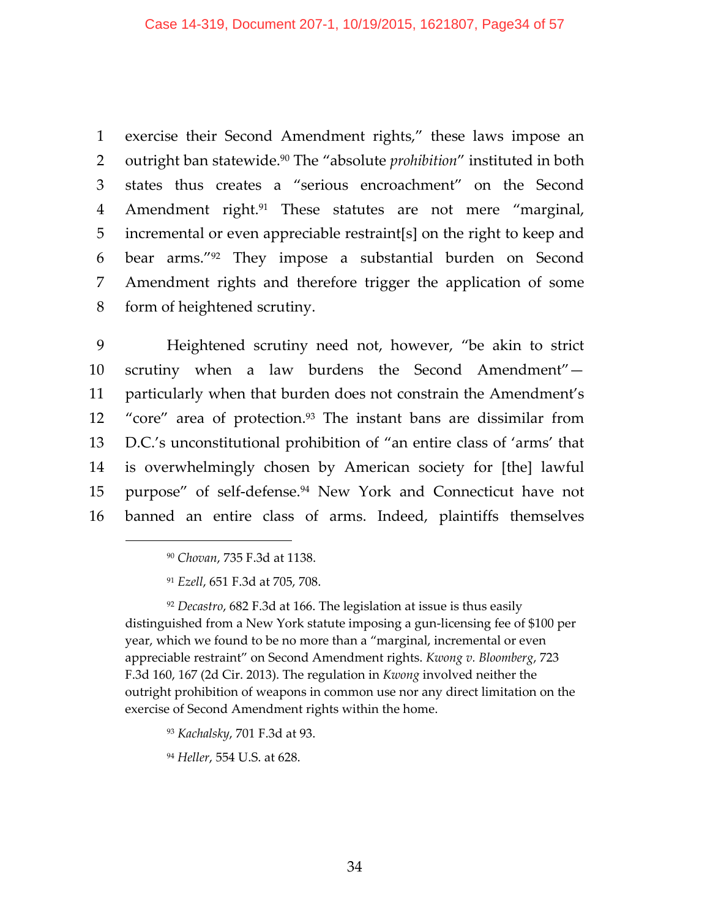exercise their Second Amendment rights," these laws impose an 2 outright ban statewide.<sup>90</sup> The "absolute *prohibition*" instituted in both states thus creates a "serious encroachment" on the Second 4 Amendment right.<sup>91</sup> These statutes are not mere "marginal, incremental or even appreciable restraint[s] on the right to keep and 6 bear arms." $92$  They impose a substantial burden on Second Amendment rights and therefore trigger the application of some form of heightened scrutiny.

 Heightened scrutiny need not, however, "be akin to strict scrutiny when a law burdens the Second Amendment"— particularly when that burden does not constrain the Amendment's 12 "core" area of protection.<sup>93</sup> The instant bans are dissimilar from D.C.'s unconstitutional prohibition of "an entire class of 'arms' that is overwhelmingly chosen by American society for [the] lawful 15 purpose" of self-defense.<sup>94</sup> New York and Connecticut have not banned an entire class of arms. Indeed, plaintiffs themselves

<sup>92</sup> *Decastro*, 682 F.3d at 166. The legislation at issue is thus easily distinguished from a New York statute imposing a gun‐licensing fee of \$100 per year, which we found to be no more than a "marginal, incremental or even appreciable restraint" on Second Amendment rights. *Kwong v. Bloomberg*, 723 F.3d 160, 167 (2d Cir. 2013). The regulation in *Kwong* involved neither the outright prohibition of weapons in common use nor any direct limitation on the exercise of Second Amendment rights within the home.

<sup>93</sup> *Kachalsky*, 701 F.3d at 93.

<sup>94</sup> *Heller*, 554 U.S. at 628.

<sup>90</sup> *Chovan*, 735 F.3d at 1138.

<sup>91</sup> *Ezell*, 651 F.3d at 705, 708.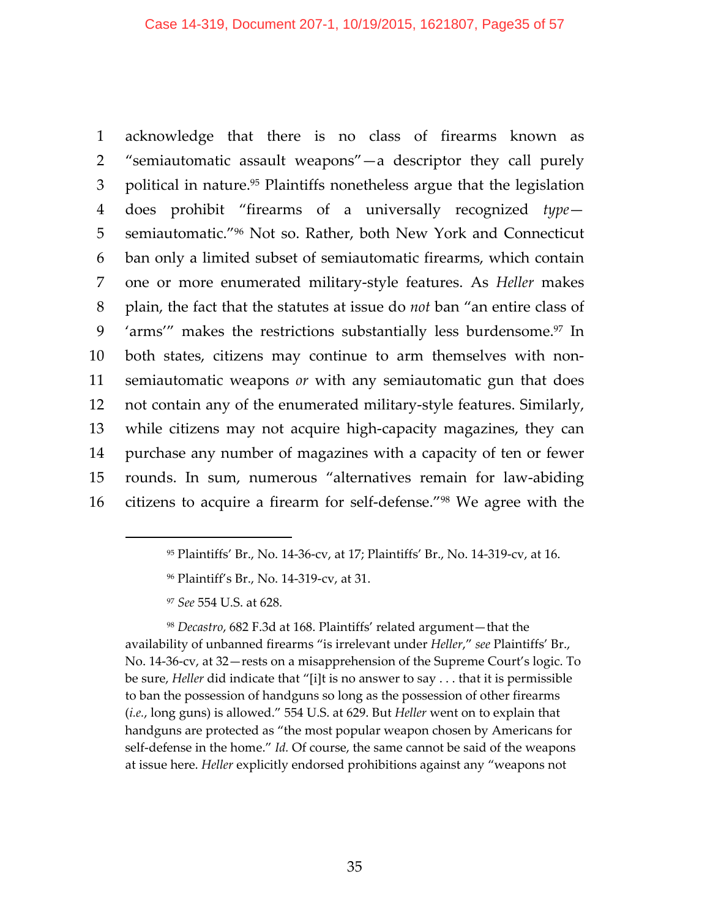1 acknowledge that there is no class of firearms known as 2 "semiautomatic assault weapons"—a descriptor they call purely 3 political in nature.  $95$  Plaintiffs nonetheless argue that the legislation 4 does prohibit "firearms of a universally recognized *type*— 5 semiautomatic."<sup>96</sup> Not so. Rather, both New York and Connecticut 6 ban only a limited subset of semiautomatic firearms, which contain 7 one or more enumerated military‐style features. As *Heller* makes 8 plain, the fact that the statutes at issue do *not* ban "an entire class of 9 'arms'" makes the restrictions substantially less burdensome.<sup>97</sup> In 10 both states, citizens may continue to arm themselves with non-11 semiautomatic weapons *or* with any semiautomatic gun that does 12 not contain any of the enumerated military-style features. Similarly, 13 while citizens may not acquire high-capacity magazines, they can 14 purchase any number of magazines with a capacity of ten or fewer 15 rounds. In sum, numerous "alternatives remain for law‐abiding 16 citizens to acquire a firearm for self-defense."<sup>98</sup> We agree with the

<sup>98</sup> *Decastro*, 682 F.3d at 168. Plaintiffs' related argument—that the availability of unbanned firearms "is irrelevant under *Heller*," *see* Plaintiffs' Br., No. 14‐36‐cv, at 32—rests on a misapprehension of the Supreme Court's logic. To be sure, *Heller* did indicate that "[i]t is no answer to say . . . that it is permissible to ban the possession of handguns so long as the possession of other firearms (*i.e.*, long guns) is allowed." 554 U.S. at 629. But *Heller* went on to explain that handguns are protected as "the most popular weapon chosen by Americans for self-defense in the home." *Id.* Of course, the same cannot be said of the weapons at issue here. *Heller* explicitly endorsed prohibitions against any "weapons not

<sup>95</sup> Plaintiffs' Br., No. 14‐36‐cv, at 17; Plaintiffs' Br., No. 14‐319‐cv, at 16.

<sup>96</sup> Plaintiff's Br., No. 14‐319‐cv, at 31.

<sup>97</sup> *See* 554 U.S. at 628.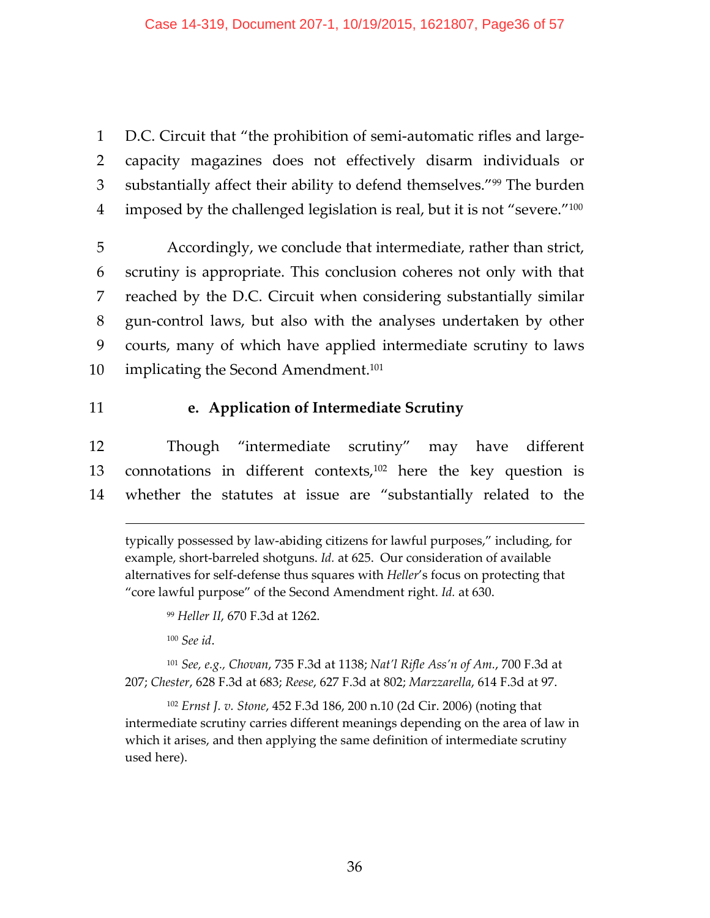1 D.C. Circuit that "the prohibition of semi‐automatic rifles and large‐ 2 capacity magazines does not effectively disarm individuals or 3 substantially affect their ability to defend themselves."<sup>99</sup> The burden imposed by the challenged legislation is real, but it is not "severe."100 4

 Accordingly, we conclude that intermediate, rather than strict, scrutiny is appropriate. This conclusion coheres not only with that reached by the D.C. Circuit when considering substantially similar 8 gun-control laws, but also with the analyses undertaken by other courts, many of which have applied intermediate scrutiny to laws 10 implicating the Second Amendment.<sup>101</sup>

# 11 **e. Application of Intermediate Scrutiny**

12 Though "intermediate scrutiny" may have different 13 connotations in different contexts, $102$  here the key question is 14 whether the statutes at issue are "substantially related to the

<sup>100</sup> *See id*.

<sup>101</sup> *See, e.g., Chovan*, 735 F.3d at 1138; *Nat'l Rifle Ass'n of Am.*, 700 F.3d at 207; *Chester*, 628 F.3d at 683; *Reese*, 627 F.3d at 802; *Marzzarella*, 614 F.3d at 97.

<sup>102</sup> *Ernst J. v. Stone*, 452 F.3d 186, 200 n.10 (2d Cir. 2006) (noting that intermediate scrutiny carries different meanings depending on the area of law in which it arises, and then applying the same definition of intermediate scrutiny used here).

typically possessed by law‐abiding citizens for lawful purposes," including, for example, short-barreled shotguns. *Id.* at 625. Our consideration of available alternatives for self‐defense thus squares with *Heller*'s focus on protecting that "core lawful purpose" of the Second Amendment right. *Id.* at 630.

<sup>99</sup> *Heller II*, 670 F.3d at 1262.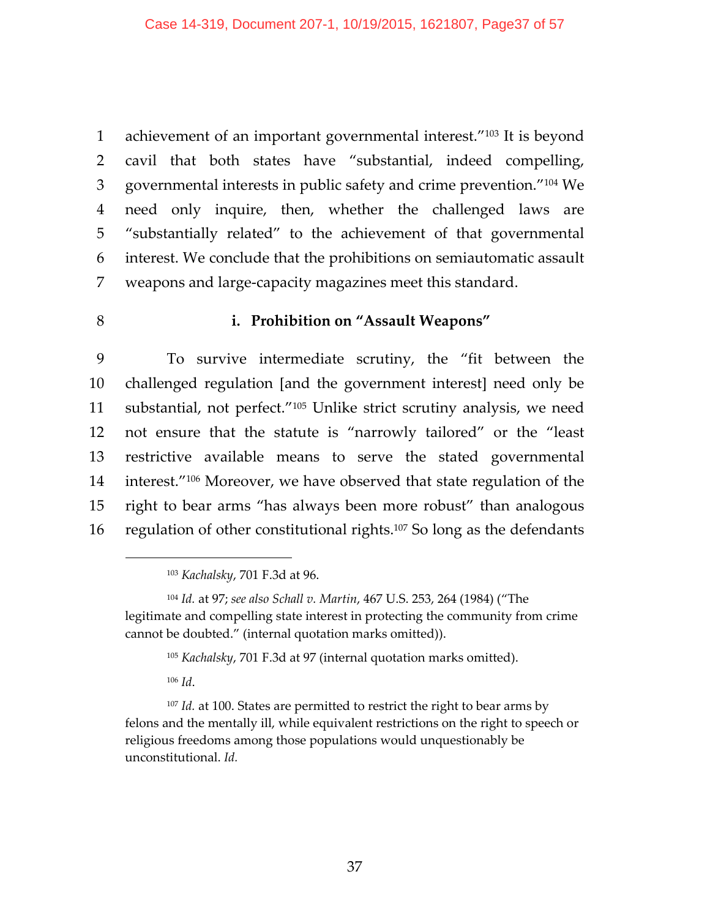1 achievement of an important governmental interest."<sup>103</sup> It is beyond cavil that both states have "substantial, indeed compelling, 3 governmental interests in public safety and crime prevention. $^{\prime\prime}$  104 We need only inquire, then, whether the challenged laws are "substantially related" to the achievement of that governmental interest. We conclude that the prohibitions on semiautomatic assault weapons and large‐capacity magazines meet this standard.

#### 8 **i. Prohibition on "Assault Weapons"**

 To survive intermediate scrutiny, the "fit between the challenged regulation [and the government interest] need only be 11 substantial, not perfect. $1105$  Unlike strict scrutiny analysis, we need not ensure that the statute is "narrowly tailored" or the "least restrictive available means to serve the stated governmental 14 interest." 106 Moreover, we have observed that state regulation of the right to bear arms "has always been more robust" than analogous 16 regulation of other constitutional rights.<sup>107</sup> So long as the defendants

<sup>105</sup> *Kachalsky*, 701 F.3d at 97 (internal quotation marks omitted).

<sup>106</sup> *Id*.

<sup>107</sup> *Id.* at 100. States are permitted to restrict the right to bear arms by felons and the mentally ill, while equivalent restrictions on the right to speech or religious freedoms among those populations would unquestionably be unconstitutional. *Id.*

<sup>103</sup> *Kachalsky*, 701 F.3d at 96.

<sup>104</sup> *Id.* at 97; *see also Schall v. Martin*, 467 U.S. 253, 264 (1984) ("The legitimate and compelling state interest in protecting the community from crime cannot be doubted." (internal quotation marks omitted)).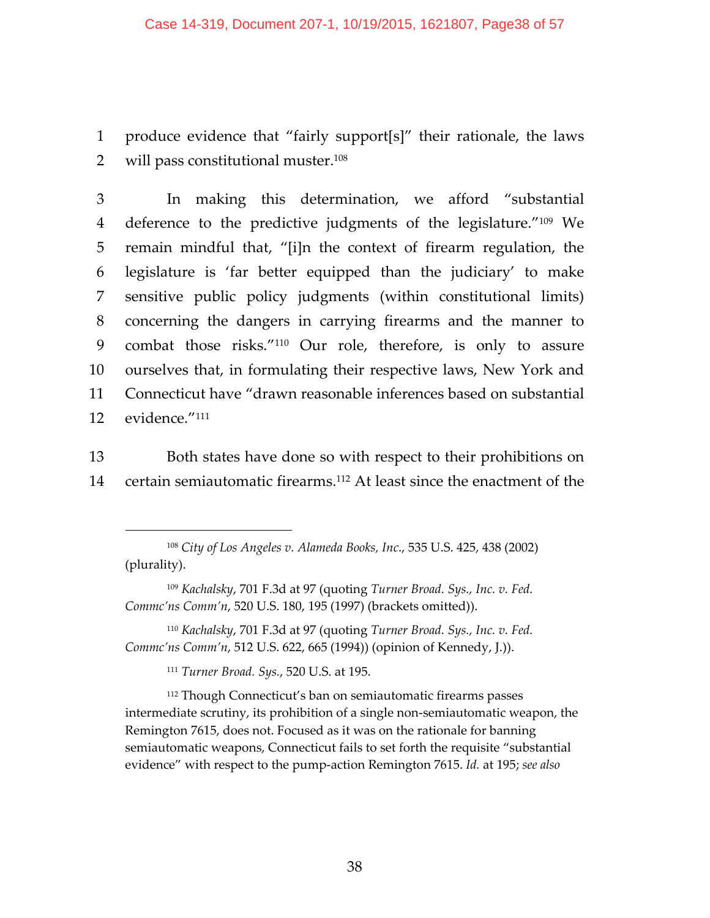1 produce evidence that "fairly support[s]" their rationale, the laws 2 will pass constitutional muster. $108$ 

 In making this determination, we afford "substantial 4 deference to the predictive judgments of the legislature."<sup>109</sup> We remain mindful that, "[i]n the context of firearm regulation, the legislature is 'far better equipped than the judiciary' to make sensitive public policy judgments (within constitutional limits) concerning the dangers in carrying firearms and the manner to 9 combat those risks."<sup>110</sup> Our role, therefore, is only to assure ourselves that, in formulating their respective laws, New York and Connecticut have "drawn reasonable inferences based on substantial 12 evidence."<sup>111</sup>

13 Both states have done so with respect to their prohibitions on 14 certain semiautomatic firearms.<sup>112</sup> At least since the enactment of the

<sup>110</sup> *Kachalsky*, 701 F.3d at 97 (quoting *Turner Broad. Sys., Inc. v. Fed. Commc'ns Comm'n*, 512 U.S. 622, 665 (1994)) (opinion of Kennedy, J.)).

<sup>111</sup> *Turner Broad. Sys.*, 520 U.S. at 195.

<sup>112</sup> Though Connecticut's ban on semiautomatic firearms passes intermediate scrutiny, its prohibition of a single non‐semiautomatic weapon, the Remington 7615, does not. Focused as it was on the rationale for banning semiautomatic weapons, Connecticut fails to set forth the requisite "substantial evidence" with respect to the pump‐action Remington 7615. *Id.* at 195; *see also*

<sup>108</sup> *City of Los Angeles v. Alameda Books, Inc*., 535 U.S. 425, 438 (2002) (plurality).

<sup>109</sup> *Kachalsky*, 701 F.3d at 97 (quoting *Turner Broad. Sys., Inc. v. Fed. Commc'ns Comm'n*, 520 U.S. 180, 195 (1997) (brackets omitted)).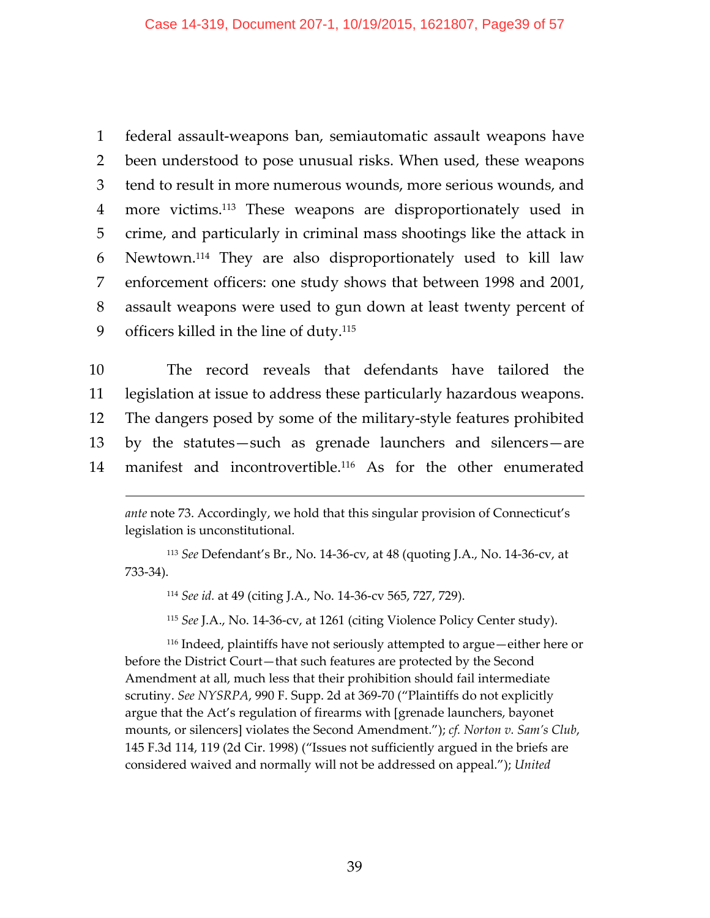federal assault‐weapons ban, semiautomatic assault weapons have been understood to pose unusual risks. When used, these weapons tend to result in more numerous wounds, more serious wounds, and 4 more victims.<sup>113</sup> These weapons are disproportionately used in crime, and particularly in criminal mass shootings like the attack in 6 Newtown.<sup>114</sup> They are also disproportionately used to kill law enforcement officers: one study shows that between 1998 and 2001, assault weapons were used to gun down at least twenty percent of 9 officers killed in the line of duty.<sup>115</sup>

10 The record reveals that defendants have tailored the 11 legislation at issue to address these particularly hazardous weapons. 12 The dangers posed by some of the military-style features prohibited 13 by the statutes—such as grenade launchers and silencers—are 14 manifest and incontrovertible.<sup>116</sup> As for the other enumerated

*ante* note 73. Accordingly, we hold that this singular provision of Connecticut's legislation is unconstitutional.

<u> Andreas Andreas Andreas Andreas Andreas Andreas Andreas Andreas Andreas Andreas Andreas Andreas Andreas Andr</u>

<sup>113</sup> *See* Defendant's Br., No. 14‐36‐cv, at 48 (quoting J.A., No. 14‐36‐cv, at 733‐34).

<sup>114</sup> *See id.* at 49 (citing J.A., No. 14‐36‐cv 565, 727, 729).

<sup>115</sup> *See* J.A., No. 14‐36‐cv, at 1261 (citing Violence Policy Center study).

<sup>116</sup> Indeed, plaintiffs have not seriously attempted to argue—either here or before the District Court—that such features are protected by the Second Amendment at all, much less that their prohibition should fail intermediate scrutiny. *See NYSRPA*, 990 F. Supp. 2d at 369‐70 ("Plaintiffs do not explicitly argue that the Act's regulation of firearms with [grenade launchers, bayonet mounts, or silencers] violates the Second Amendment."); *cf. Norton v. Sam's Club*, 145 F.3d 114, 119 (2d Cir. 1998) ("Issues not sufficiently argued in the briefs are considered waived and normally will not be addressed on appeal."); *United*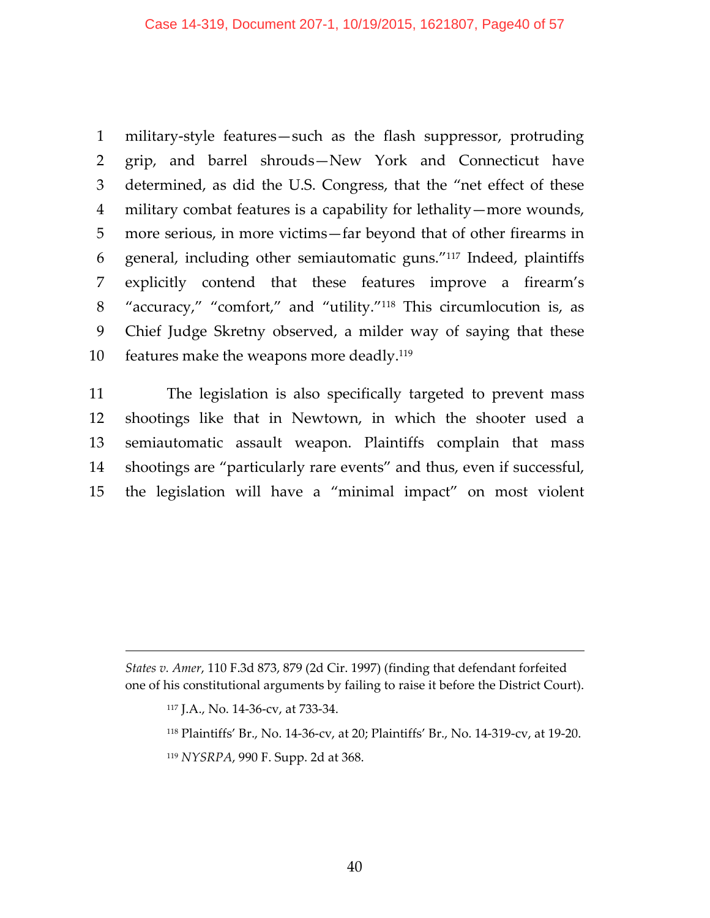military‐style features—such as the flash suppressor, protruding grip, and barrel shrouds—New York and Connecticut have determined, as did the U.S. Congress, that the "net effect of these military combat features is a capability for lethality—more wounds, more serious, in more victims—far beyond that of other firearms in 6 general, including other semiautomatic guns." Indeed, plaintiffs explicitly contend that these features improve a firearm's 8 "accuracy," "comfort," and "utility."<sup>118</sup> This circumlocution is, as Chief Judge Skretny observed, a milder way of saying that these 10 features make the weapons more deadly.<sup>119</sup>

 The legislation is also specifically targeted to prevent mass shootings like that in Newtown, in which the shooter used a semiautomatic assault weapon. Plaintiffs complain that mass shootings are "particularly rare events" and thus, even if successful, the legislation will have a "minimal impact" on most violent

*States v. Amer*, 110 F.3d 873, 879 (2d Cir. 1997) (finding that defendant forfeited one of his constitutional arguments by failing to raise it before the District Court).

<u> Andreas Andreas Andreas Andreas Andreas Andreas Andreas Andreas Andreas Andreas Andreas Andreas Andreas Andr</u>

J.A., No. 14‐36‐cv, at 733‐34.

Plaintiffs' Br., No. 14‐36‐cv, at 20; Plaintiffs' Br., No. 14‐319‐cv, at 19‐20.

*NYSRPA*, 990 F. Supp. 2d at 368.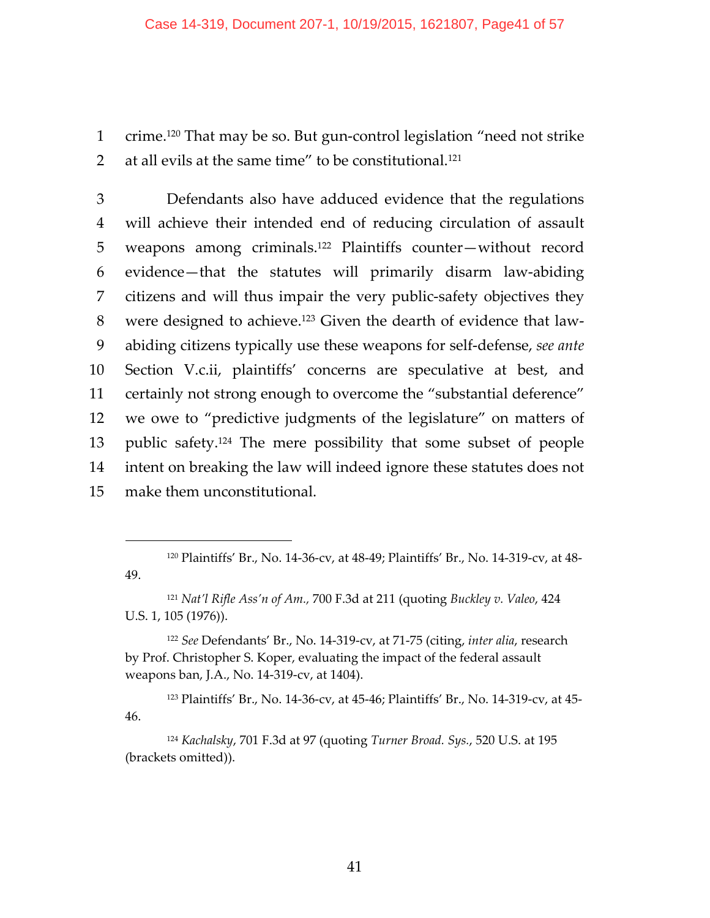1 crime.<sup>120</sup> That may be so. But gun-control legislation "need not strike 2 at all evils at the same time" to be constitutional.<sup>121</sup>

 Defendants also have adduced evidence that the regulations will achieve their intended end of reducing circulation of assault 5 weapons among criminals.<sup>122</sup> Plaintiffs counter—without record evidence—that the statutes will primarily disarm law‐abiding 7 citizens and will thus impair the very public-safety objectives they 8 were designed to achieve.<sup>123</sup> Given the dearth of evidence that law- abiding citizens typically use these weapons for self‐defense, *see ante* Section V.c.ii, plaintiffs' concerns are speculative at best, and certainly not strong enough to overcome the "substantial deference" we owe to "predictive judgments of the legislature" on matters of 13 public safety.<sup>124</sup> The mere possibility that some subset of people intent on breaking the law will indeed ignore these statutes does not make them unconstitutional.

<sup>120</sup> Plaintiffs' Br., No. 14‐36‐cv, at 48‐49; Plaintiffs' Br., No. 14‐319‐cv, at 48‐ 49.

<sup>121</sup> *Nat'l Rifle Ass'n of Am.,* 700 F.3d at 211 (quoting *Buckley v. Valeo*, 424 U.S. 1, 105 (1976)).

<sup>122</sup> *See* Defendants' Br., No. 14‐319‐cv, at 71‐75 (citing, *inter alia*, research by Prof. Christopher S. Koper, evaluating the impact of the federal assault weapons ban, J.A., No. 14‐319‐cv, at 1404).

<sup>123</sup> Plaintiffs' Br., No. 14‐36‐cv, at 45‐46; Plaintiffs' Br., No. 14‐319‐cv, at 45‐ 46.

<sup>124</sup> *Kachalsky*, 701 F.3d at 97 (quoting *Turner Broad. Sys.*, 520 U.S. at 195 (brackets omitted)).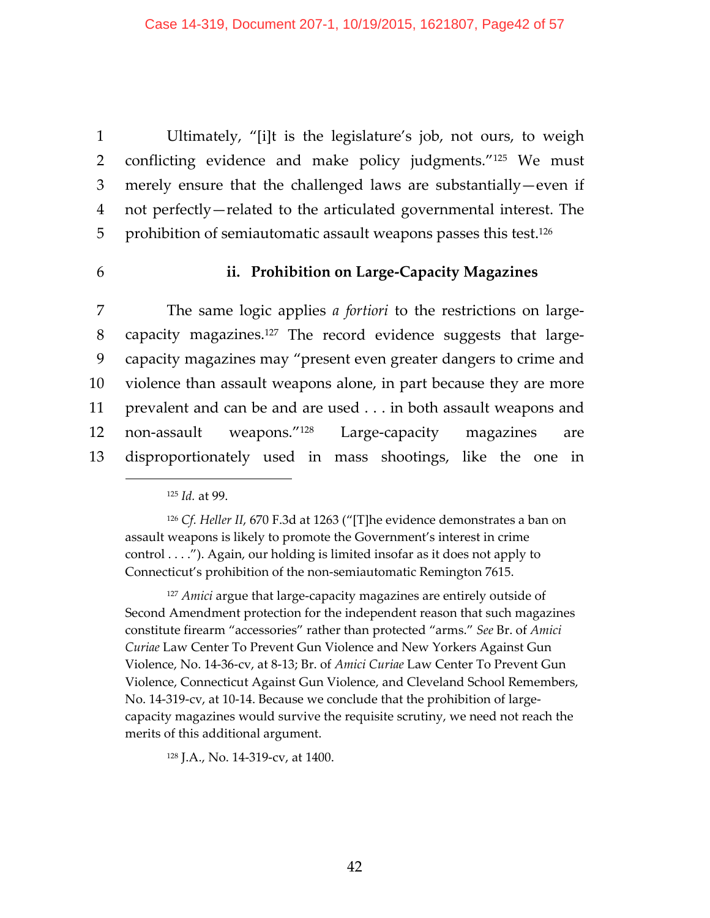1 Ultimately, "[i]t is the legislature's job, not ours, to weigh 2 conflicting evidence and make policy judgments. $^{\prime\prime}$ 125 We must 3 merely ensure that the challenged laws are substantially—even if 4 not perfectly—related to the articulated governmental interest. The 5 prohibition of semiautomatic assault weapons passes this test.<sup>126</sup>

# 6 **ii. Prohibition on Large‐Capacity Magazines**

 The same logic applies *a fortiori* to the restrictions on large‐ 8 capacity magazines. $127$  The record evidence suggests that large- capacity magazines may "present even greater dangers to crime and violence than assault weapons alone, in part because they are more prevalent and can be and are used . . . in both assault weapons and 12 non-assault weapons."<sup>128</sup> Large-capacity magazines are disproportionately used in mass shootings, like the one in

<sup>127</sup> *Amici* argue that large‐capacity magazines are entirely outside of Second Amendment protection for the independent reason that such magazines constitute firearm "accessories" rather than protected "arms." *See* Br. of *Amici Curiae* Law Center To Prevent Gun Violence and New Yorkers Against Gun Violence, No. 14‐36‐cv, at 8‐13; Br. of *Amici Curiae* Law Center To Prevent Gun Violence, Connecticut Against Gun Violence, and Cleveland School Remembers, No. 14-319-cv, at 10-14. Because we conclude that the prohibition of largecapacity magazines would survive the requisite scrutiny, we need not reach the merits of this additional argument.

<sup>128</sup> J.A., No. 14‐319‐cv, at 1400.

<sup>125</sup> *Id.* at 99.

<sup>126</sup> *Cf. Heller II*, 670 F.3d at 1263 ("[T]he evidence demonstrates a ban on assault weapons is likely to promote the Government's interest in crime control . . . ."). Again, our holding is limited insofar as it does not apply to Connecticut's prohibition of the non‐semiautomatic Remington 7615.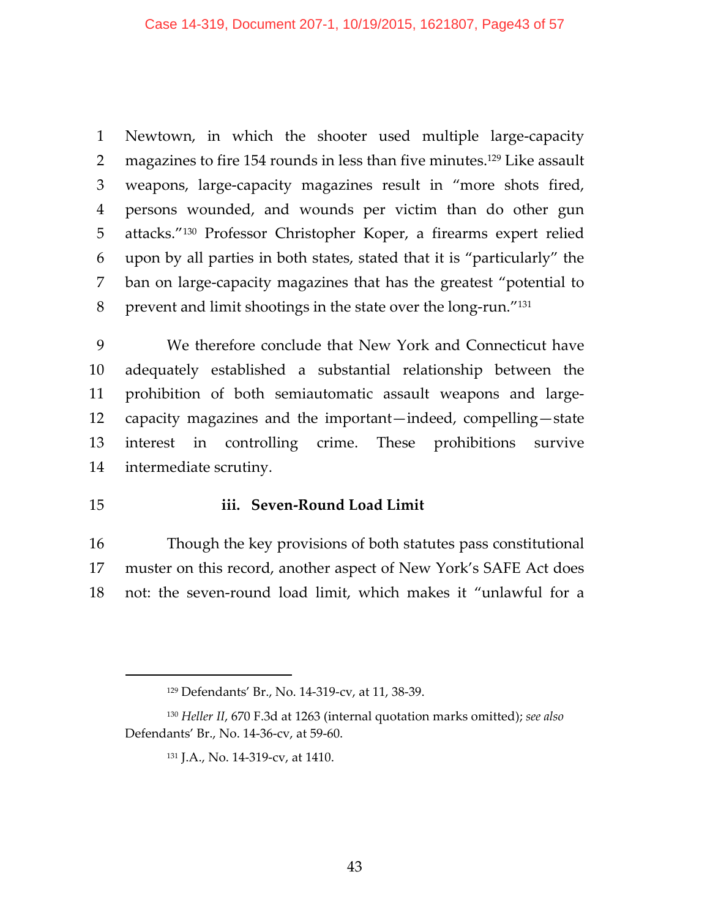Newtown, in which the shooter used multiple large‐capacity 2 magazines to fire 154 rounds in less than five minutes.<sup>129</sup> Like assault weapons, large‐capacity magazines result in "more shots fired, persons wounded, and wounds per victim than do other gun 5 attacks."<sup>130</sup> Professor Christopher Koper, a firearms expert relied upon by all parties in both states, stated that it is "particularly" the ban on large‐capacity magazines that has the greatest "potential to 8 prevent and limit shootings in the state over the long-run."<sup>131</sup>

 We therefore conclude that New York and Connecticut have adequately established a substantial relationship between the prohibition of both semiautomatic assault weapons and large‐ capacity magazines and the important—indeed, compelling—state interest in controlling crime. These prohibitions survive intermediate scrutiny.

#### **iii. Seven‐Round Load Limit**

 Though the key provisions of both statutes pass constitutional muster on this record, another aspect of New York's SAFE Act does 18 not: the seven-round load limit, which makes it "unlawful for a

Defendants' Br., No. 14‐319‐cv, at 11, 38‐39.

 *Heller II*, 670 F.3d at 1263 (internal quotation marks omitted); *see also* Defendants' Br., No. 14‐36‐cv, at 59‐60.

J.A., No. 14‐319‐cv, at 1410.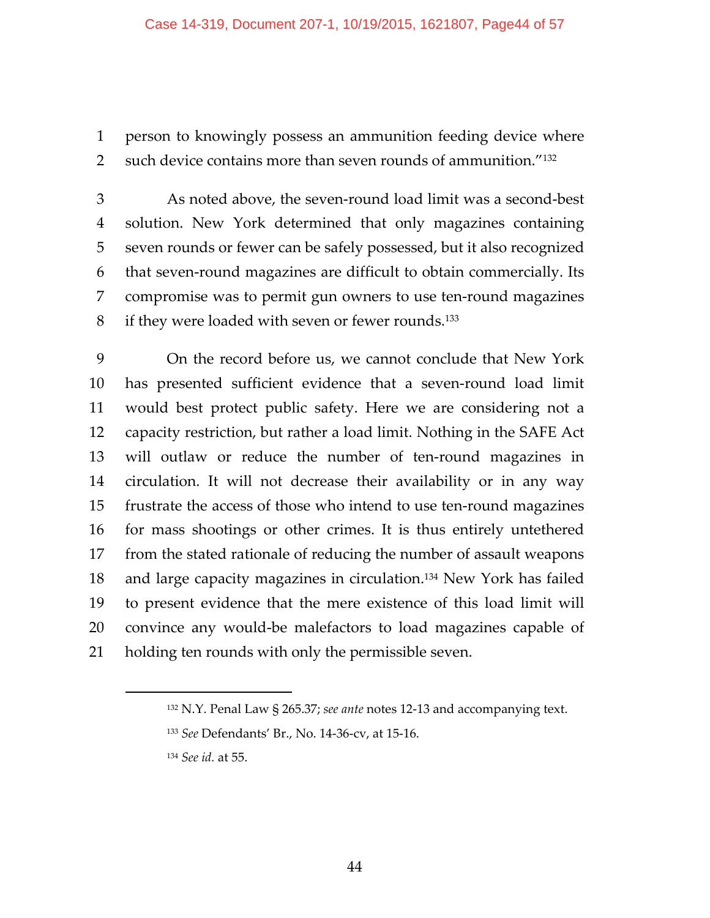person to knowingly possess an ammunition feeding device where such device contains more than seven rounds of ammunition."132

 As noted above, the seven‐round load limit was a second‐best solution. New York determined that only magazines containing seven rounds or fewer can be safely possessed, but it also recognized that seven‐round magazines are difficult to obtain commercially. Its compromise was to permit gun owners to use ten‐round magazines 8 if they were loaded with seven or fewer rounds.<sup>133</sup>

 On the record before us, we cannot conclude that New York 10 has presented sufficient evidence that a seven-round load limit would best protect public safety. Here we are considering not a capacity restriction, but rather a load limit. Nothing in the SAFE Act 13 will outlaw or reduce the number of ten-round magazines in circulation. It will not decrease their availability or in any way frustrate the access of those who intend to use ten‐round magazines for mass shootings or other crimes. It is thus entirely untethered from the stated rationale of reducing the number of assault weapons 18 and large capacity magazines in circulation.<sup>134</sup> New York has failed to present evidence that the mere existence of this load limit will convince any would‐be malefactors to load magazines capable of holding ten rounds with only the permissible seven.

N.Y. Penal Law § 265.37; *see ante* notes 12‐13 and accompanying text.

*See* Defendants' Br., No. 14‐36‐cv, at 15‐16.

*See id.* at 55.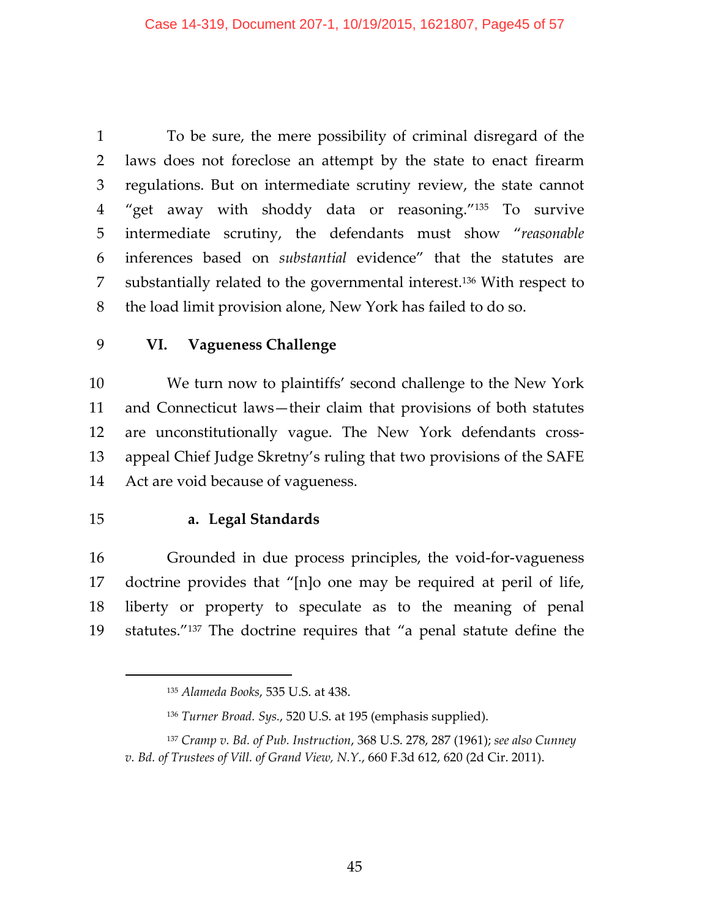To be sure, the mere possibility of criminal disregard of the laws does not foreclose an attempt by the state to enact firearm regulations. But on intermediate scrutiny review, the state cannot 4 "get away with shoddy data or reasoning."<sup>135</sup> To survive intermediate scrutiny, the defendants must show "*reasonable* inferences based on *substantial* evidence" that the statutes are 7 substantially related to the governmental interest.<sup>136</sup> With respect to the load limit provision alone, New York has failed to do so.

#### **VI. Vagueness Challenge**

 We turn now to plaintiffs' second challenge to the New York and Connecticut laws—their claim that provisions of both statutes 12 are unconstitutionally vague. The New York defendants cross- appeal Chief Judge Skretny's ruling that two provisions of the SAFE Act are void because of vagueness.

## **a. Legal Standards**

16 Grounded in due process principles, the void-for-vagueness doctrine provides that "[n]o one may be required at peril of life, liberty or property to speculate as to the meaning of penal 19 statutes."<sup>137</sup> The doctrine requires that "a penal statute define the

*Alameda Books*, 535 U.S. at 438.

*Turner Broad. Sys.*, 520 U.S. at 195 (emphasis supplied).

 *Cramp v. Bd. of Pub. Instruction*, 368 U.S. 278, 287 (1961); *see also Cunney v. Bd. of Trustees of Vill. of Grand View, N.Y.*, 660 F.3d 612, 620 (2d Cir. 2011).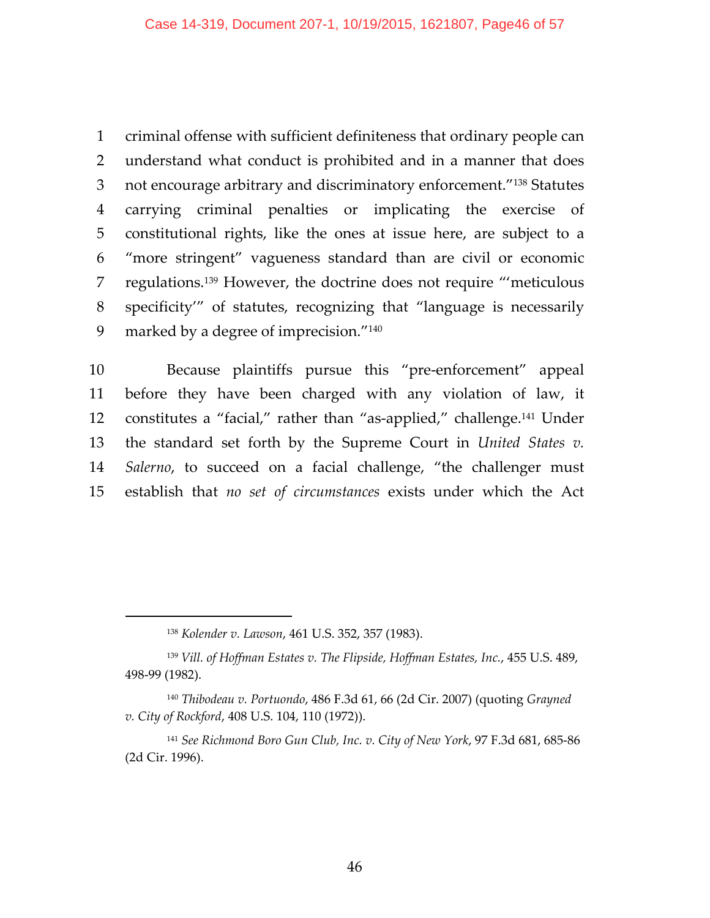criminal offense with sufficient definiteness that ordinary people can understand what conduct is prohibited and in a manner that does 3 not encourage arbitrary and discriminatory enforcement."<sup>138</sup> Statutes carrying criminal penalties or implicating the exercise of constitutional rights, like the ones at issue here, are subject to a "more stringent" vagueness standard than are civil or economic 7 regulations.<sup>139</sup> However, the doctrine does not require "'meticulous specificity'" of statutes, recognizing that "language is necessarily 9 marked by a degree of imprecision.

10 Because plaintiffs pursue this "pre-enforcement" appeal before they have been charged with any violation of law, it 12 constitutes a "facial," rather than "as-applied," challenge.<sup>141</sup> Under the standard set forth by the Supreme Court in *United States v. Salerno*, to succeed on a facial challenge, "the challenger must establish that *no set of circumstances* exists under which the Act

*Kolender v. Lawson*, 461 U.S. 352, 357 (1983).

 *Vill. of Hoffman Estates v. The Flipside, Hoffman Estates, Inc.*, 455 U.S. 489, ‐99 (1982).

 *Thibodeau v. Portuondo*, 486 F.3d 61, 66 (2d Cir. 2007) (quoting *Grayned v. City of Rockford*, 408 U.S. 104, 110 (1972)).

 *See Richmond Boro Gun Club, Inc. v. City of New York*, 97 F.3d 681, 685‐86 (2d Cir. 1996).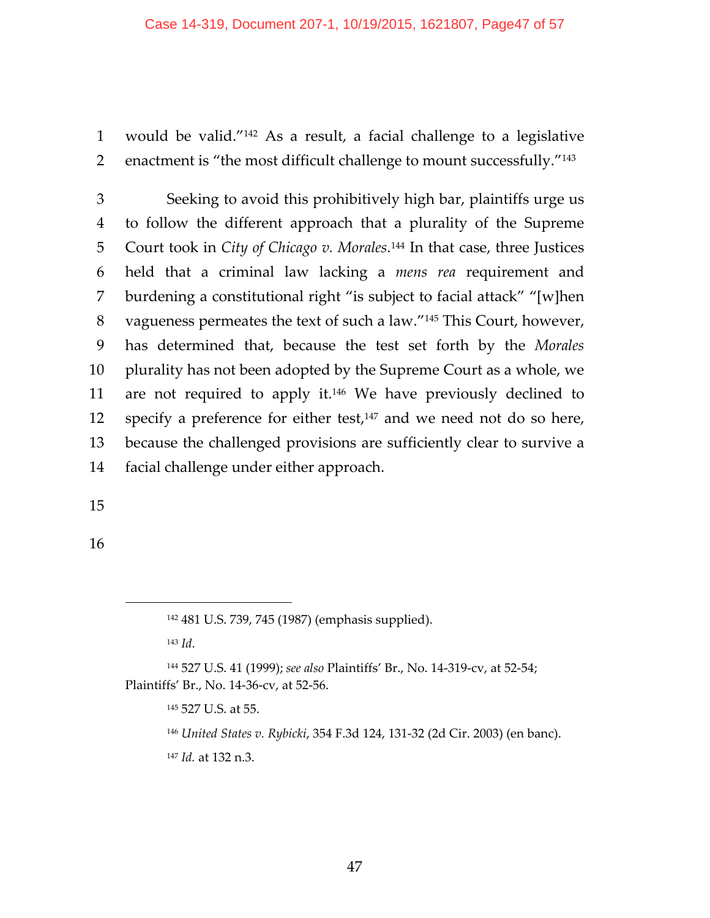#### Case 14-319, Document 207-1, 10/19/2015, 1621807, Page47 of 57

1 would be valid."<sup>142</sup> As a result, a facial challenge to a legislative 2 enactment is "the most difficult challenge to mount successfully."<sup>143</sup>

 Seeking to avoid this prohibitively high bar, plaintiffs urge us to follow the different approach that a plurality of the Supreme 5 Court took in *City of Chicago v. Morales*.<sup>144</sup> In that case, three Justices held that a criminal law lacking a *mens rea* requirement and burdening a constitutional right "is subject to facial attack" "[w]hen 8 vagueness permeates the text of such a law."<sup>145</sup> This Court, however, has determined that, because the test set forth by the *Morales* plurality has not been adopted by the Supreme Court as a whole, we 11 are not required to apply it.<sup>146</sup> We have previously declined to 12 specify a preference for either test, and we need not do so here, because the challenged provisions are sufficiently clear to survive a facial challenge under either approach.

*Id*.

481 U.S. 739, 745 (1987) (emphasis supplied).

 527 U.S. 41 (1999); *see also* Plaintiffs' Br., No. 14‐319‐cv, at 52‐54; Plaintiffs' Br., No. 14‐36‐cv, at 52‐56.

527 U.S. at 55.

 *United States v. Rybicki*, 354 F.3d 124, 131‐32 (2d Cir. 2003) (en banc). *Id.* at 132 n.3.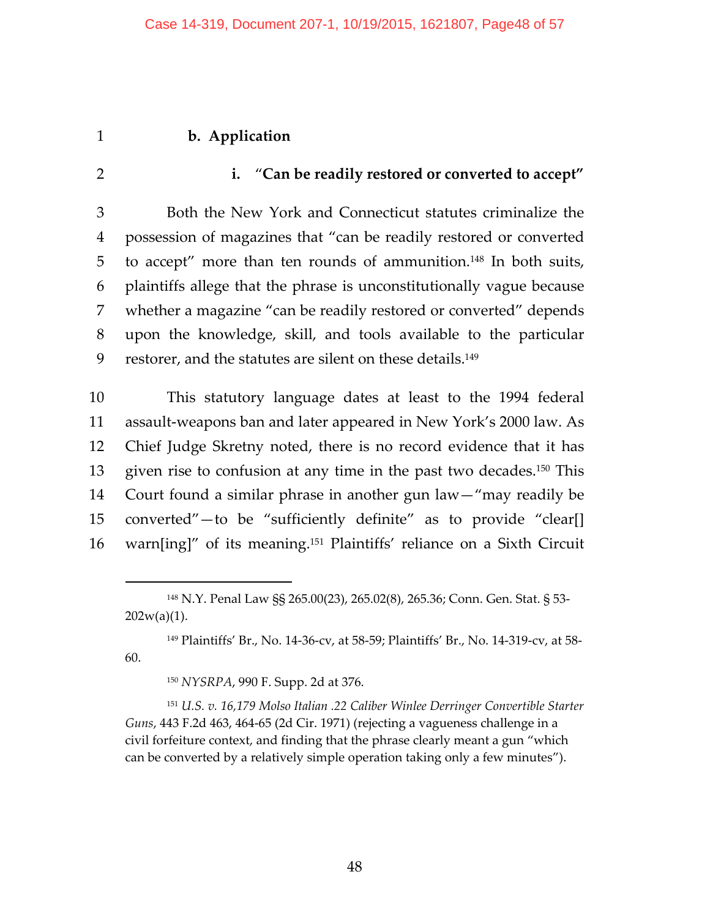# 1 **b. Application**

# 2 **i.** "**Can be readily restored or converted to accept"**

 Both the New York and Connecticut statutes criminalize the possession of magazines that "can be readily restored or converted 5 to accept" more than ten rounds of ammunition.<sup>148</sup> In both suits, plaintiffs allege that the phrase is unconstitutionally vague because whether a magazine "can be readily restored or converted" depends upon the knowledge, skill, and tools available to the particular 9 restorer, and the statutes are silent on these details.<sup>149</sup>

10 This statutory language dates at least to the 1994 federal 11 assault-weapons ban and later appeared in New York's 2000 law. As 12 Chief Judge Skretny noted, there is no record evidence that it has 13 given rise to confusion at any time in the past two decades.<sup>150</sup> This 14 Court found a similar phrase in another gun law—"may readily be 15 converted"—to be "sufficiently definite" as to provide "clear[] 16 warn[ing]" of its meaning.<sup>151</sup> Plaintiffs' reliance on a Sixth Circuit

<sup>149</sup> Plaintiffs' Br., No. 14‐36‐cv, at 58‐59; Plaintiffs' Br., No. 14‐319‐cv, at 58‐ 60.

<sup>150</sup> *NYSRPA*, 990 F. Supp. 2d at 376.

<sup>151</sup> *U.S. v. 16,179 Molso Italian .22 Caliber Winlee Derringer Convertible Starter Guns*, 443 F.2d 463, 464‐65 (2d Cir. 1971) (rejecting a vagueness challenge in a civil forfeiture context, and finding that the phrase clearly meant a gun "which can be converted by a relatively simple operation taking only a few minutes").

<sup>148</sup> N.Y. Penal Law §§ 265.00(23), 265.02(8), 265.36; Conn. Gen. Stat. § 53‐  $202w(a)(1)$ .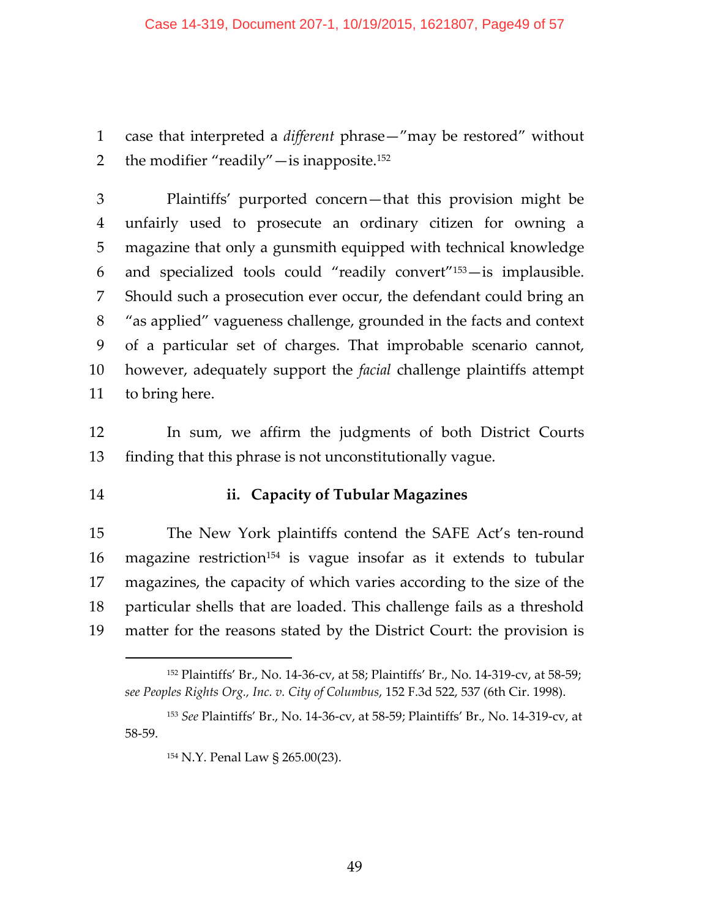case that interpreted a *different* phrase—"may be restored" without 2 the modifier "readily"—is inapposite.<sup>152</sup>

 Plaintiffs' purported concern—that this provision might be unfairly used to prosecute an ordinary citizen for owning a magazine that only a gunsmith equipped with technical knowledge 6 and specialized tools could "readily convert"-is implausible. Should such a prosecution ever occur, the defendant could bring an "as applied" vagueness challenge, grounded in the facts and context of a particular set of charges. That improbable scenario cannot, however, adequately support the *facial* challenge plaintiffs attempt to bring here.

 In sum, we affirm the judgments of both District Courts finding that this phrase is not unconstitutionally vague.

#### **ii. Capacity of Tubular Magazines**

15 The New York plaintiffs contend the SAFE Act's ten-round 16 magazine restriction<sup>154</sup> is vague insofar as it extends to tubular magazines, the capacity of which varies according to the size of the particular shells that are loaded. This challenge fails as a threshold matter for the reasons stated by the District Court: the provision is

N.Y. Penal Law § 265.00(23).

 Plaintiffs' Br., No. 14‐36‐cv, at 58; Plaintiffs' Br., No. 14‐319‐cv, at 58‐59; *see Peoples Rights Org., Inc. v. City of Columbus*, 152 F.3d 522, 537 (6th Cir. 1998).

 *See* Plaintiffs' Br., No. 14‐36‐cv, at 58‐59; Plaintiffs' Br., No. 14‐319‐cv, at ‐59.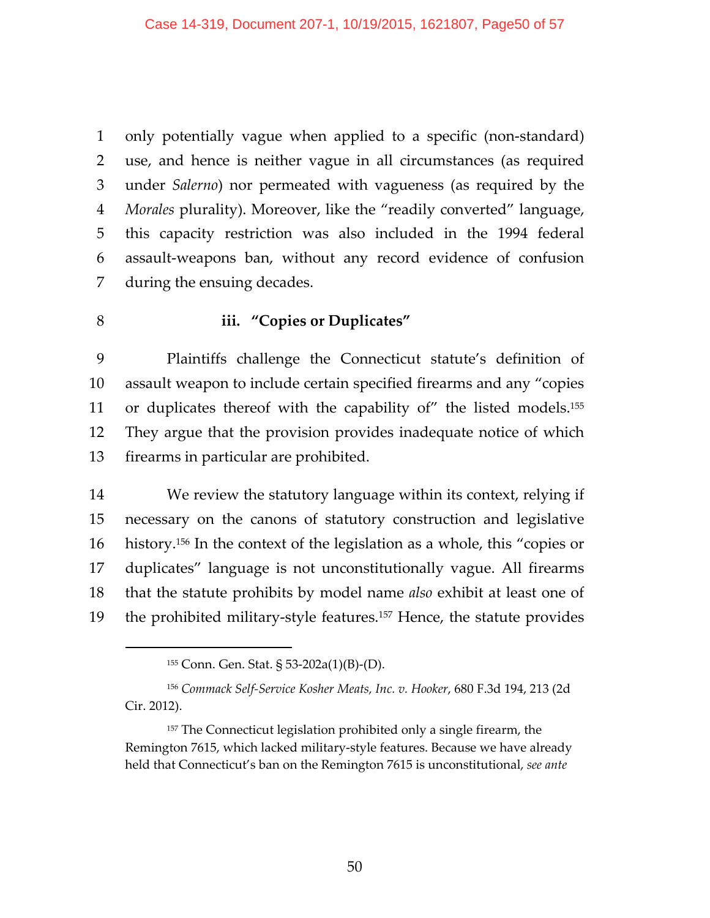only potentially vague when applied to a specific (non‐standard) use, and hence is neither vague in all circumstances (as required under *Salerno*) nor permeated with vagueness (as required by the *Morales* plurality). Moreover, like the "readily converted" language, this capacity restriction was also included in the 1994 federal assault‐weapons ban, without any record evidence of confusion during the ensuing decades.

# **iii. "Copies or Duplicates"**

 Plaintiffs challenge the Connecticut statute's definition of assault weapon to include certain specified firearms and any "copies 11 or duplicates thereof with the capability of" the listed models.<sup>155</sup> They argue that the provision provides inadequate notice of which firearms in particular are prohibited.

 We review the statutory language within its context, relying if necessary on the canons of statutory construction and legislative history.156 In the context of the legislation as a whole, this "copies or duplicates" language is not unconstitutionally vague. All firearms that the statute prohibits by model name *also* exhibit at least one of 19 the prohibited military-style features.<sup>157</sup> Hence, the statute provides

 *Commack Self‐Service Kosher Meats, Inc. v. Hooker*, 680 F.3d 194, 213 (2d Cir. 2012).

Conn. Gen. Stat. § 53‐202a(1)(B)‐(D).

<sup>&</sup>lt;sup>157</sup> The Connecticut legislation prohibited only a single firearm, the Remington 7615, which lacked military‐style features. Because we have already held that Connecticut's ban on the Remington 7615 is unconstitutional, *see ante*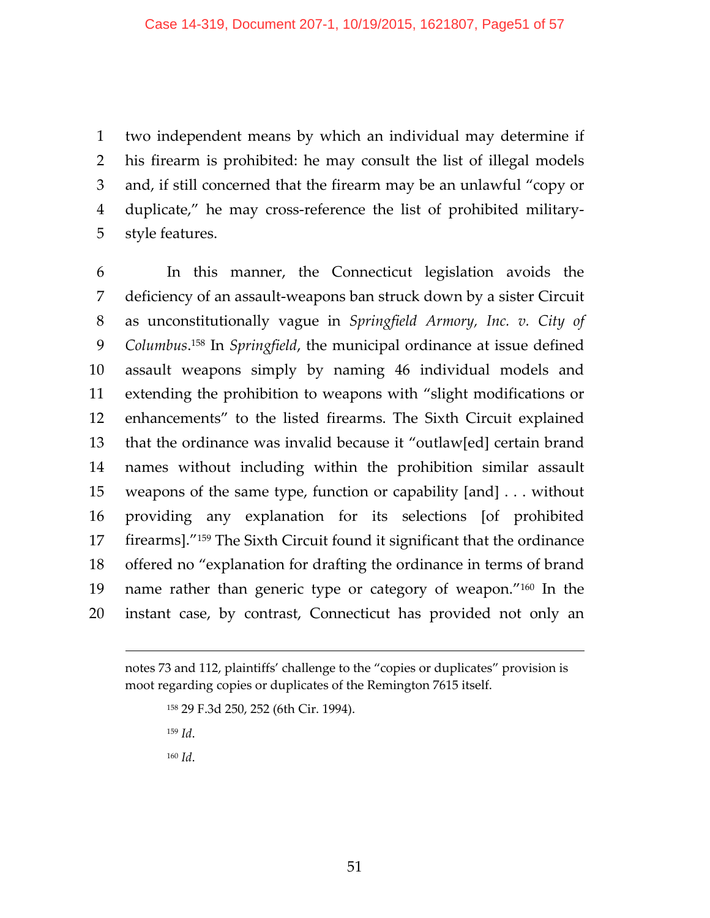two independent means by which an individual may determine if his firearm is prohibited: he may consult the list of illegal models and, if still concerned that the firearm may be an unlawful "copy or duplicate," he may cross‐reference the list of prohibited military‐ style features.

 In this manner, the Connecticut legislation avoids the 7 deficiency of an assault-weapons ban struck down by a sister Circuit as unconstitutionally vague in *Springfield Armory, Inc. v. City of* 9 Columbus.<sup>158</sup> In *Springfield*, the municipal ordinance at issue defined assault weapons simply by naming 46 individual models and extending the prohibition to weapons with "slight modifications or enhancements" to the listed firearms. The Sixth Circuit explained that the ordinance was invalid because it "outlaw[ed] certain brand names without including within the prohibition similar assault weapons of the same type, function or capability [and] . . . without providing any explanation for its selections [of prohibited 17 firearms]."<sup>159</sup> The Sixth Circuit found it significant that the ordinance offered no "explanation for drafting the ordinance in terms of brand 19 name rather than generic type or category of weapon. $10^{\circ}$  In the instant case, by contrast, Connecticut has provided not only an

<u> Andreas Andreas Andreas Andreas Andreas Andreas Andreas Andreas Andreas Andreas Andreas Andreas Andreas Andr</u>

 29 F.3d 250, 252 (6th Cir. 1994). *Id*.

*Id*.

notes 73 and 112, plaintiffs' challenge to the "copies or duplicates" provision is moot regarding copies or duplicates of the Remington 7615 itself.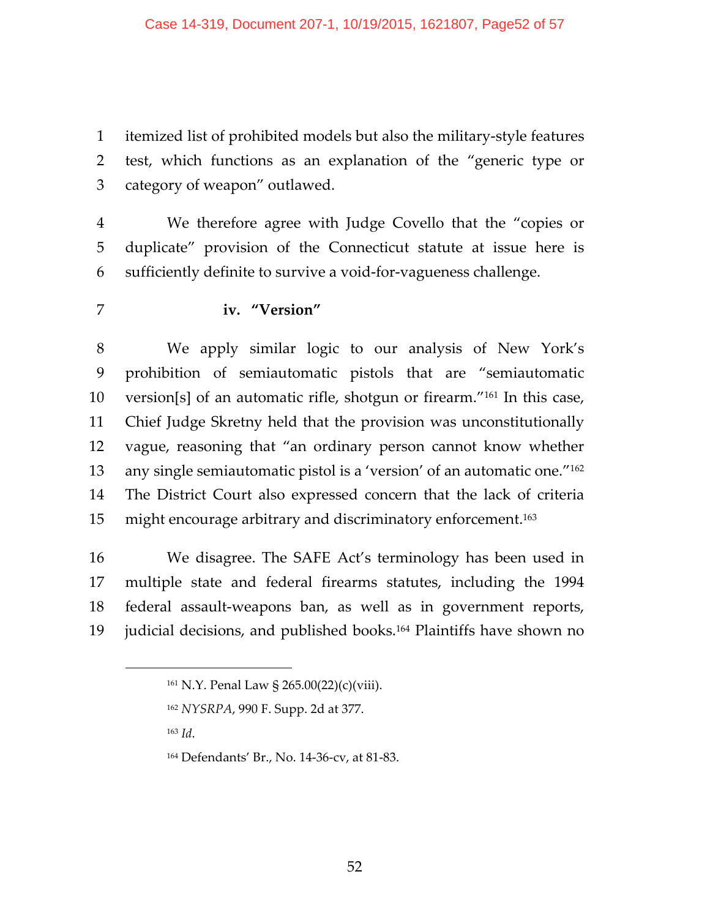itemized list of prohibited models but also the military‐style features test, which functions as an explanation of the "generic type or category of weapon" outlawed.

 We therefore agree with Judge Covello that the "copies or duplicate" provision of the Connecticut statute at issue here is sufficiently definite to survive a void‐for‐vagueness challenge.

#### **iv. "Version"**

 We apply similar logic to our analysis of New York's prohibition of semiautomatic pistols that are "semiautomatic 10 version[s] of an automatic rifle, shotgun or firearm."<sup>161</sup> In this case, Chief Judge Skretny held that the provision was unconstitutionally vague, reasoning that "an ordinary person cannot know whether 13 any single semiautomatic pistol is a 'version' of an automatic one."<sup>162</sup> The District Court also expressed concern that the lack of criteria 15 might encourage arbitrary and discriminatory enforcement.<sup>163</sup>

 We disagree. The SAFE Act's terminology has been used in multiple state and federal firearms statutes, including the 1994 federal assault‐weapons ban, as well as in government reports, 19 judicial decisions, and published books.<sup>164</sup> Plaintiffs have shown no

*Id*.

N.Y. Penal Law § 265.00(22)(c)(viii).

*NYSRPA*, 990 F. Supp. 2d at 377.

Defendants' Br., No. 14‐36‐cv, at 81‐83.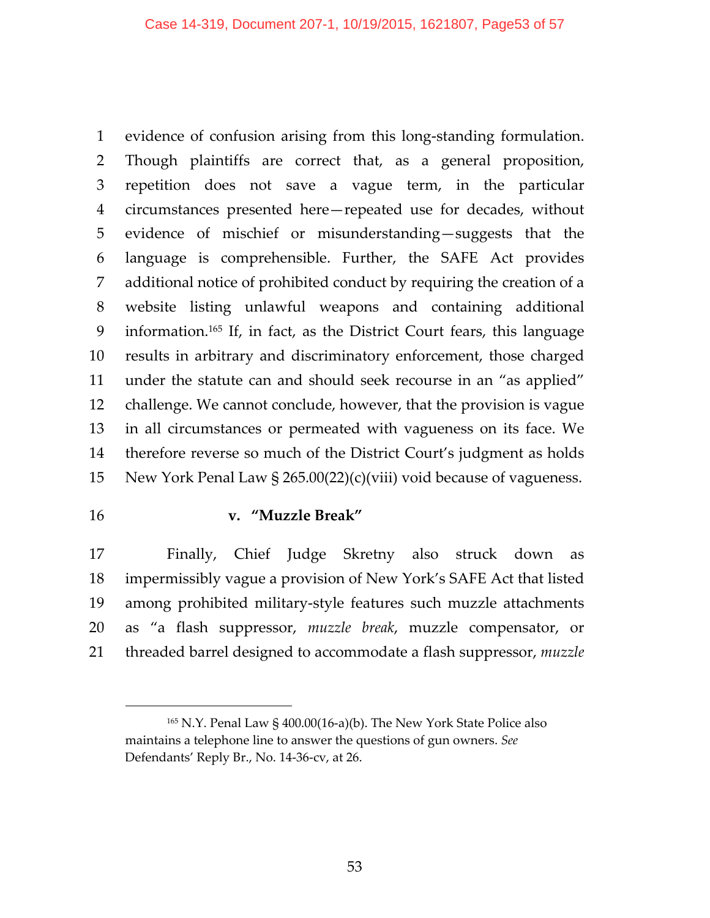evidence of confusion arising from this long‐standing formulation. Though plaintiffs are correct that, as a general proposition, repetition does not save a vague term, in the particular circumstances presented here—repeated use for decades, without evidence of mischief or misunderstanding—suggests that the language is comprehensible. Further, the SAFE Act provides additional notice of prohibited conduct by requiring the creation of a website listing unlawful weapons and containing additional 9 information.<sup>165</sup> If, in fact, as the District Court fears, this language results in arbitrary and discriminatory enforcement, those charged under the statute can and should seek recourse in an "as applied" challenge. We cannot conclude, however, that the provision is vague in all circumstances or permeated with vagueness on its face. We therefore reverse so much of the District Court's judgment as holds New York Penal Law § 265.00(22)(c)(viii) void because of vagueness.

#### **v. "Muzzle Break"**

 Finally, Chief Judge Skretny also struck down as impermissibly vague a provision of New York's SAFE Act that listed among prohibited military‐style features such muzzle attachments as "a flash suppressor, *muzzle break*, muzzle compensator, or threaded barrel designed to accommodate a flash suppressor, *muzzle*

 N.Y. Penal Law § 400.00(16‐a)(b). The New York State Police also maintains a telephone line to answer the questions of gun owners. *See* Defendants' Reply Br., No. 14‐36‐cv, at 26.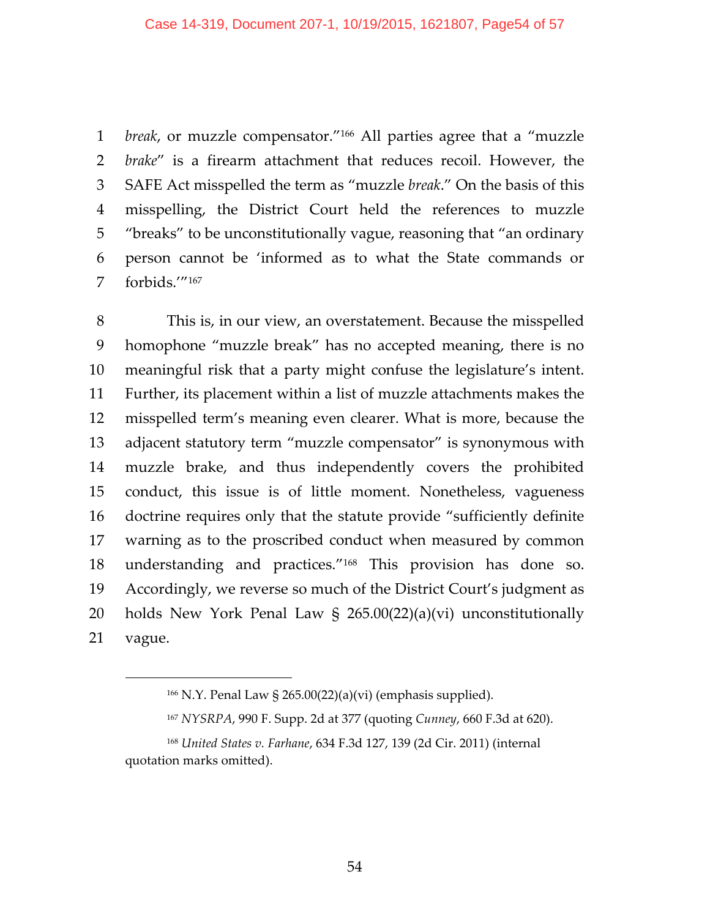*break*, or muzzle compensator.<sup>"166</sup> All parties agree that a "muzzle" *brake*" is a firearm attachment that reduces recoil. However, the SAFE Act misspelled the term as "muzzle *break*." On the basis of this misspelling, the District Court held the references to muzzle "breaks" to be unconstitutionally vague, reasoning that "an ordinary person cannot be 'informed as to what the State commands or 7 forbids."<sup>167</sup>

 This is, in our view, an overstatement. Because the misspelled homophone "muzzle break" has no accepted meaning, there is no meaningful risk that a party might confuse the legislature's intent. Further, its placement within a list of muzzle attachments makes the misspelled term's meaning even clearer. What is more, because the adjacent statutory term "muzzle compensator" is synonymous with muzzle brake, and thus independently covers the prohibited conduct, this issue is of little moment. Nonetheless, vagueness doctrine requires only that the statute provide "sufficiently definite warning as to the proscribed conduct when measured by common 18 understanding and practices."<sup>168</sup> This provision has done so. Accordingly, we reverse so much of the District Court's judgment as holds New York Penal Law § 265.00(22)(a)(vi) unconstitutionally vague.

<sup>&</sup>lt;sup>166</sup> N.Y. Penal Law § 265.00(22)(a)(vi) (emphasis supplied).

*NYSRPA*, 990 F. Supp. 2d at 377 (quoting *Cunney*, 660 F.3d at 620).

 *United States v. Farhane*, 634 F.3d 127, 139 (2d Cir. 2011) (internal quotation marks omitted).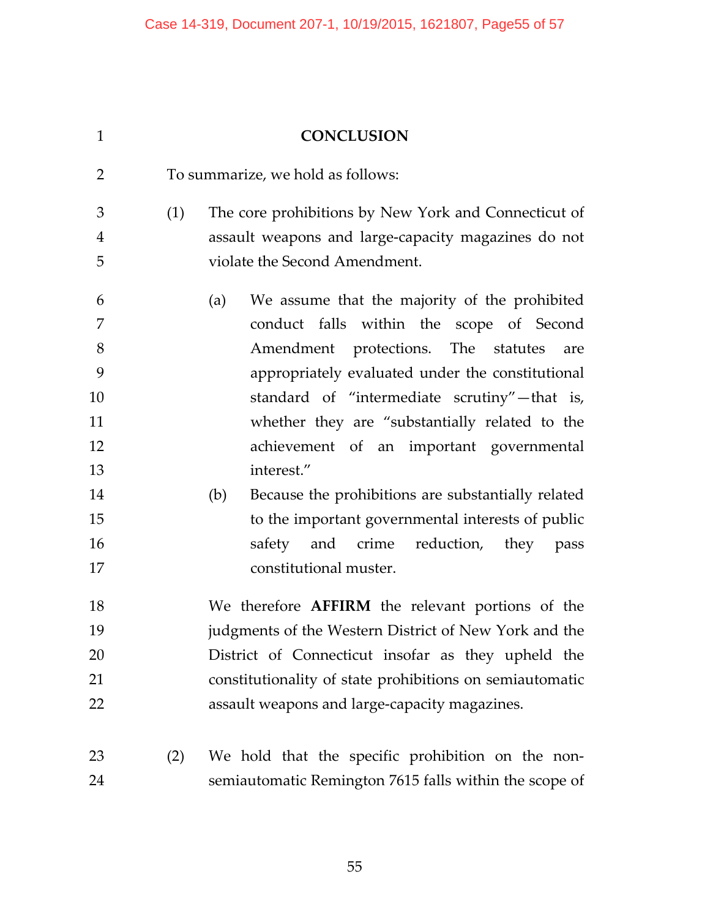| $\mathbf{1}$   |     | <b>CONCLUSION</b>                                         |
|----------------|-----|-----------------------------------------------------------|
| $\overline{2}$ |     | To summarize, we hold as follows:                         |
| 3              | (1) | The core prohibitions by New York and Connecticut of      |
| 4              |     | assault weapons and large-capacity magazines do not       |
| 5              |     | violate the Second Amendment.                             |
| 6              |     | We assume that the majority of the prohibited<br>(a)      |
| 7              |     | conduct falls within the scope of Second                  |
| 8              |     | Amendment protections. The statutes<br>are                |
| 9              |     | appropriately evaluated under the constitutional          |
| 10             |     | standard of "intermediate scrutiny"-that is,              |
| 11             |     | whether they are "substantially related to the            |
| 12             |     | achievement of an important governmental                  |
| 13             |     | interest."                                                |
| 14             |     | Because the prohibitions are substantially related<br>(b) |
| 15             |     | to the important governmental interests of public         |
| 16             |     | safety and crime reduction, they pass                     |
| 17             |     | constitutional muster.                                    |
| 18             |     | We therefore <b>AFFIRM</b> the relevant portions of the   |
| 19             |     | judgments of the Western District of New York and the     |
| 20             |     | District of Connecticut insofar as they upheld the        |
| 21             |     | constitutionality of state prohibitions on semiautomatic  |
| 22             |     | assault weapons and large-capacity magazines.             |
| 23             | (2) | We hold that the specific prohibition on the non-         |
| 24             |     | semiautomatic Remington 7615 falls within the scope of    |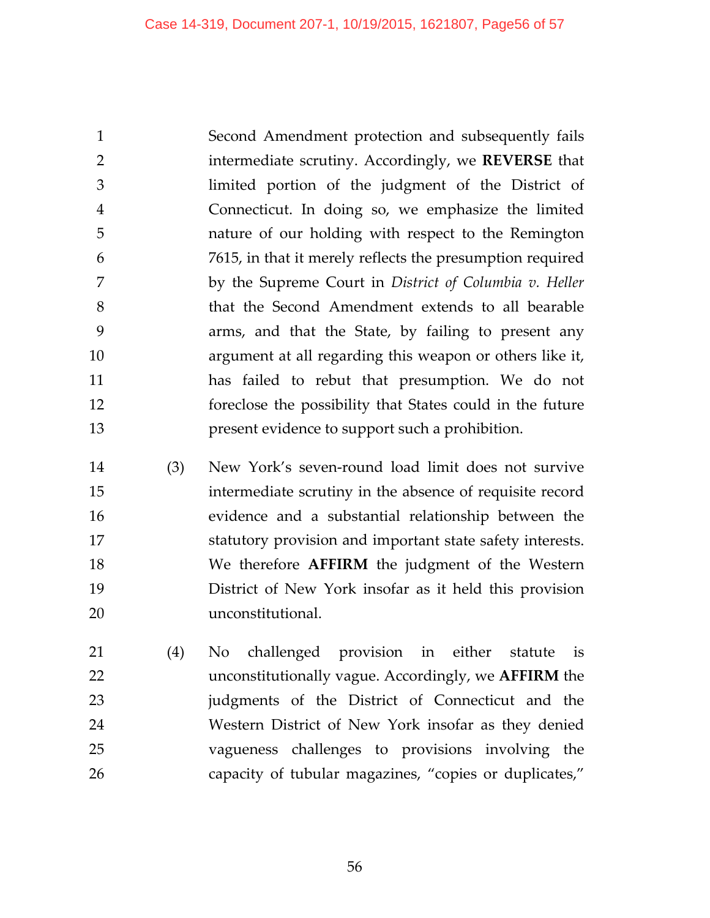Second Amendment protection and subsequently fails intermediate scrutiny. Accordingly, we **REVERSE** that limited portion of the judgment of the District of Connecticut. In doing so, we emphasize the limited nature of our holding with respect to the Remington 7615, in that it merely reflects the presumption required by the Supreme Court in *District of Columbia v. Heller* that the Second Amendment extends to all bearable arms, and that the State, by failing to present any argument at all regarding this weapon or others like it, has failed to rebut that presumption. We do not foreclose the possibility that States could in the future present evidence to support such a prohibition.

 (3) New York's seven‐round load limit does not survive intermediate scrutiny in the absence of requisite record evidence and a substantial relationship between the statutory provision and important state safety interests. We therefore **AFFIRM** the judgment of the Western District of New York insofar as it held this provision unconstitutional.

 (4) No challenged provision in either statute is unconstitutionally vague. Accordingly, we **AFFIRM** the judgments of the District of Connecticut and the Western District of New York insofar as they denied vagueness challenges to provisions involving the capacity of tubular magazines, "copies or duplicates,"